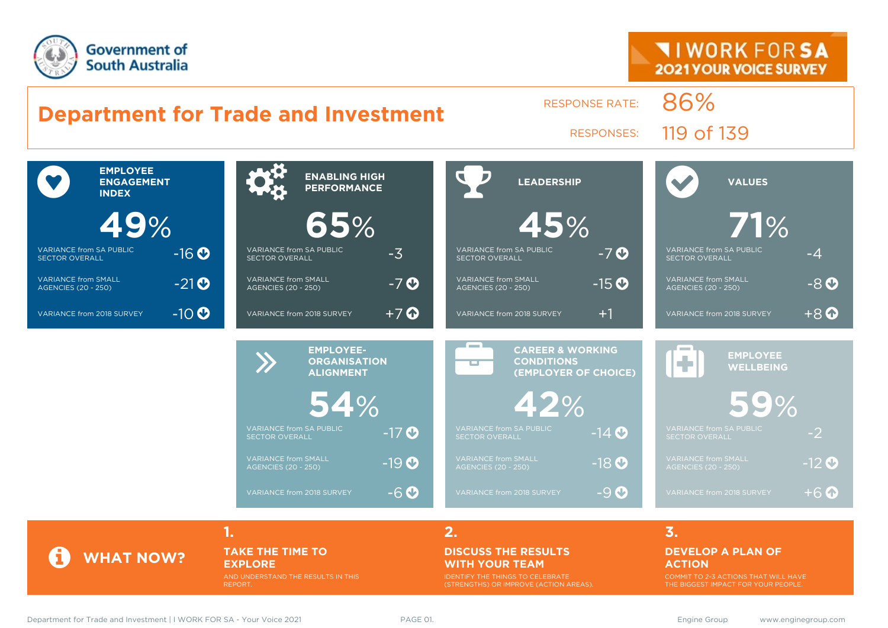



### **TAKE THE TIME TO EXPLORE**

AND UNDERSTAND THE RESULTS IN THIS REPORT.

#### **DISCUSS THE RESULTS WITH YOUR TEAM**

IDENTIFY THE THINGS TO CELEBRATE (STRENGTHS) OR IMPROVE (ACTION AREAS).

#### **DEVELOP A PLAN OF ACTION**

COMMIT TO 2-3 ACTIONS THAT WILL HAVE THE BIGGEST IMPACT FOR YOUR PEOPLE.

**WHAT NOW?**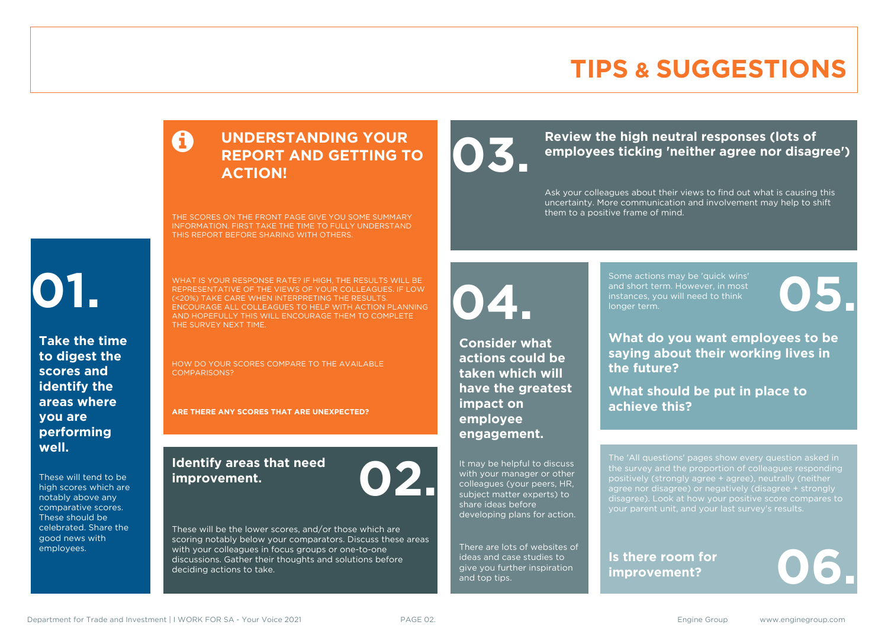### **TIPS & SUGGESTIONS**

### **UNDERSTANDING YOUR REPORT AND GETTING TO ACTION!**

THE SCORES ON THE FRONT PAGE GIVE YOU SOME SUMMARY INFORMATION. FIRST TAKE THE TIME TO FULLY UNDERSTAND THIS REPORT BEFORE SHARING WITH OTHERS.

# **01.**

**Take the time to digest the scores and identify the areas where you are performing well.**

These will tend to be high scores which are notably above any comparative scores. These should be celebrated. Share the good news with employees.

WHAT IS YOUR RESPONSE RATE? IF HIGH, THE RESULTS WILL BE REPRESENTATIVE OF THE VIEWS OF YOUR COLLEAGUES. IF LOW (<20%) TAKE CARE WHEN INTERPRETING THE RESULTS. ENCOURAGE ALL COLLEAGUES TO HELP WITH ACTION PLANNING AND HOPEFULLY THIS WILL ENCOURAGE THEM TO COMPLETE THE SURVEY NEXT TIME.

HOW DO YOUR SCORES COMPARE TO THE AVAILABLE COMPARISONS?

**ARE THERE ANY SCORES THAT ARE UNEXPECTED?**

### **Identify areas that need improvement. 02.**

**04.**

**impact on employee engagement.**

**Consider what actions could be taken which will have the greatest** 

It may be helpful to discuss with your manager or other colleagues (your peers, HR, subject matter experts) to share ideas before

developing plans for action.

There are lots of websites of ideas and case studies to give you further inspiration

and top tips.

These will be the lower scores, and/or those which are scoring notably below your comparators. Discuss these areas with your colleagues in focus groups or one-to-one discussions. Gather their thoughts and solutions before deciding actions to take.

### Review the high neutral responses (lots of employees ticking 'neither agree nor disag **employees ticking 'neither agree nor disagree')**

Ask your colleagues about their views to find out what is causing this uncertainty. More communication and involvement may help to shift them to a positive frame of mind.

> Some actions may be 'quick wins' and short term. However, in most instances, you will need to think Some actions may be 'quick wins'<br>and short term. However, in most<br>instances, you will need to think<br>longer term.

**What do you want employees to be saying about their working lives in the future?**

**What should be put in place to achieve this?**

The 'All questions' pages show every question asked in positively (strongly agree + agree), neutrally (neither agree nor disagree) or negatively (disagree + strongly disagree). Look at how your positive score compares to your parent unit, and your last survey's results.

**Is there room for**  Is there room for<br>improvement?

Department for Trade and Investment | I WORK FOR SA - Your Voice 2021 PAGE 02. The Same Communication of the Same Group www.enginegroup.com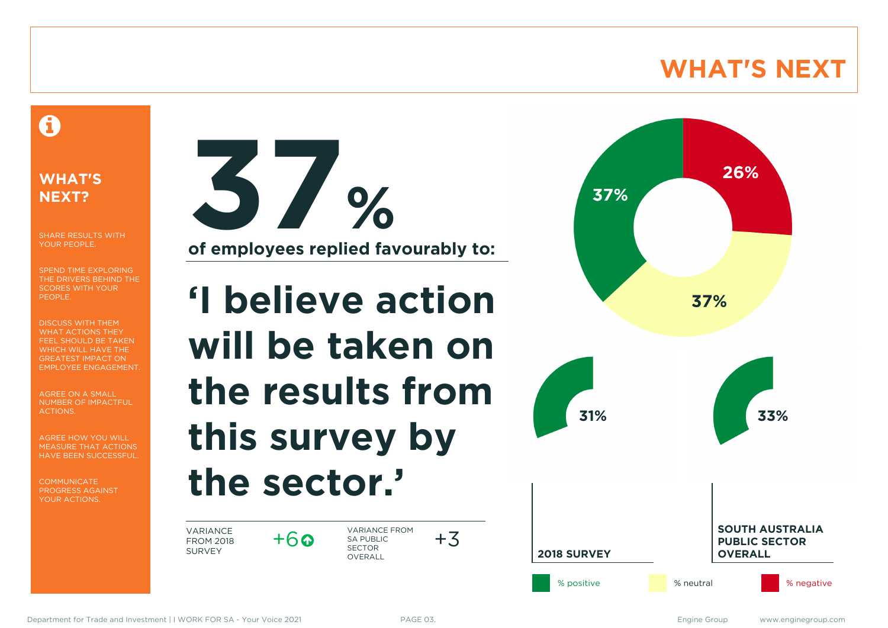### **WHAT'S NEXT**

### A

### **WHAT'S NEXT?**

SHARE RESULTS WITH YOUR PEOPLE.

SPEND TIME EXPLORING THE DRIVERS BEHIND THE SCORES WITH YOUR PEOPLE.

DISCUSS WITH THEM WHAT ACTIONS THEY FEEL SHOULD BE TAKEN WHICH WILL HAVE THE GREATEST IMPACT ON EMPLOYEE ENGAGEMENT.

AGREE ON A SMALL NUMBER OF IMPACTFUL ACTIONS.

AGREE HOW YOU WILL MEASURE THAT ACTIONS HAVE BEEN SUCCESSFUL.

**COMMUNICATE** PROGRESS AGAINST YOUR ACTIONS.



**of employees replied favourably to:**

# **'I believe action will be taken on the results from this survey by the sector.'**

VARIANCE FROM 2018 SURVEY

 $+6$ 

VARIANCE FROM SA PUBLIC SECTOR **OVERALL** 



 $+3$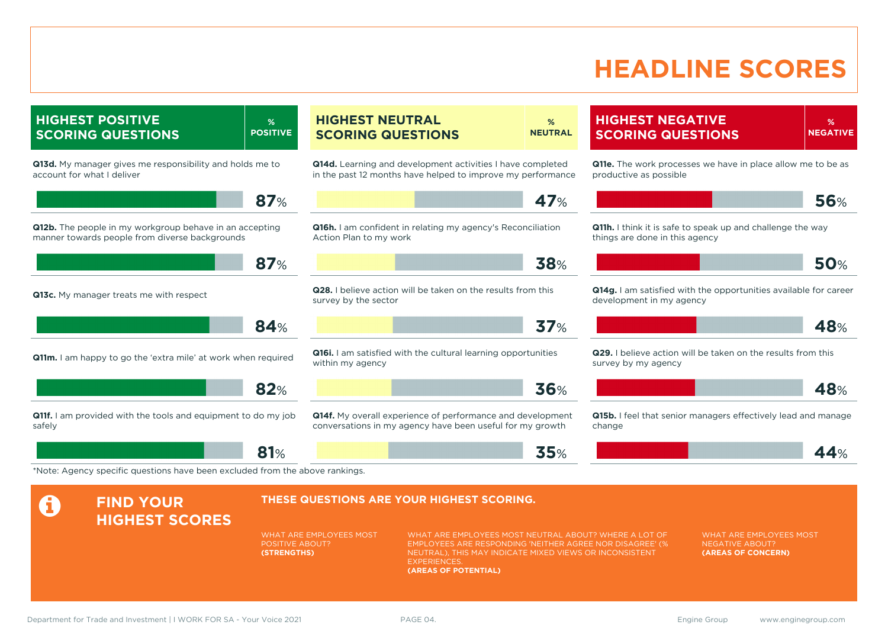### **HEADLINE SCORES**

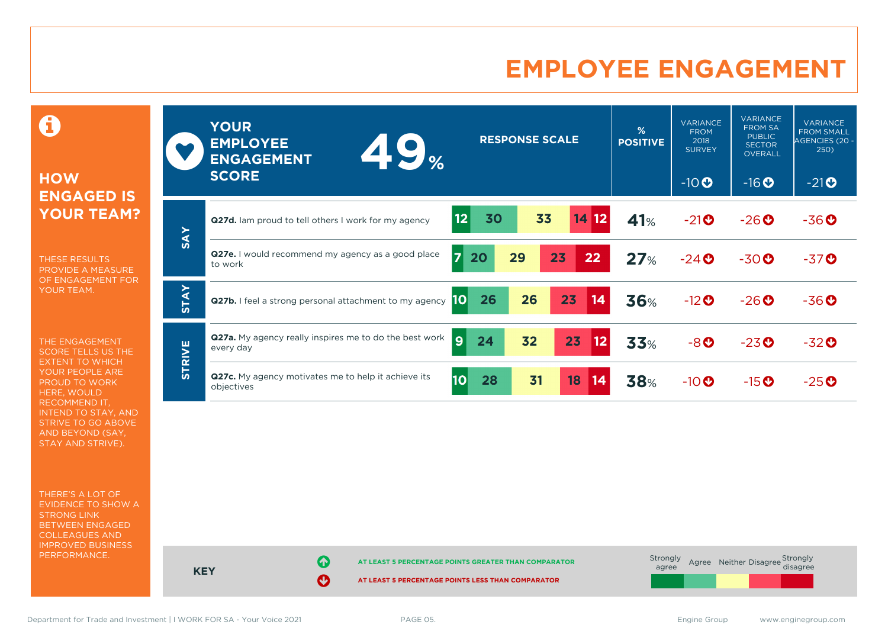### **EMPLOYEE ENGAGEMENT**

0

### **HOW ENGAGED IS YOUR TEAM?**

THESE RESULTS PROVIDE A MEASURE OF ENGAGEMENT FOR YOUR TEAM.

THE ENGAGEMENT SCORE TELLS US THE EXTENT TO WHICH YOUR PEOPLE ARE PROUD TO WORK HERE, WOULD RECOMMEND IT, INTEND TO STAY, AND STRIVE TO GO ABOVE AND BEYOND (SAY, STAY AND STRIVE).

THERE'S A LOT OF EVIDENCE TO SHOW A STRONG LINK BETWEEN ENGAGED COLLEAGUES AND IMPROVED BUSINESS PERFORMANCE.

|               | <b>YOUR</b><br><b>EMPLOYEE</b><br><b>49%</b><br><b>ENGAGEMENT</b><br><b>SCORE</b> | <b>RESPONSE SCALE</b>                  | %<br><b>POSITIVE</b> | <b>VARIANCE</b><br><b>FROM</b><br>2018<br><b>SURVEY</b><br>$-10$ <sup>O</sup> | <b>VARIANCE</b><br><b>FROM SA</b><br><b>PUBLIC</b><br><b>SECTOR</b><br><b>OVERALL</b><br>$-16$ <b>O</b> | <b>VARIANCE</b><br><b>FROM SMALL</b><br>AGENCIES (20 -<br>250)<br>$-21$ <b>O</b> |
|---------------|-----------------------------------------------------------------------------------|----------------------------------------|----------------------|-------------------------------------------------------------------------------|---------------------------------------------------------------------------------------------------------|----------------------------------------------------------------------------------|
| <b>SAY</b>    | Q27d. Iam proud to tell others I work for my agency                               | 33<br>12 <sub>2</sub><br>14 12<br>30   | 41%                  | $-21$ <sup>O</sup>                                                            | $-26$                                                                                                   | $-36O$                                                                           |
|               | <b>Q27e.</b> I would recommend my agency as a good place<br>to work               | $\overline{7}$<br>23<br>29<br>22<br>20 | 27%                  | $-24$ $\odot$                                                                 | $-30$ <sup>O</sup>                                                                                      | $-37$ <sup>O</sup>                                                               |
| <b>STAY</b>   | Q27b. I feel a strong personal attachment to my agency                            | 26<br>23<br>26<br>14<br> 10            | <b>36%</b>           | $-12$ <sup>O</sup>                                                            | $-26$                                                                                                   | $-36O$                                                                           |
| <b>STRIVE</b> | <b>Q27a.</b> My agency really inspires me to do the best work<br>every day        | $\overline{9}$<br>32<br>23<br>24<br>12 | <b>33%</b>           | $-8o$                                                                         | $-23o$                                                                                                  | $-32o$                                                                           |
|               | Q27c. My agency motivates me to help it achieve its<br>objectives                 | 10<br>28<br>31<br>18<br>14             | <b>38%</b>           | $-10$ $\odot$                                                                 | $-15$ <sup>O</sup>                                                                                      | $-25o$                                                                           |

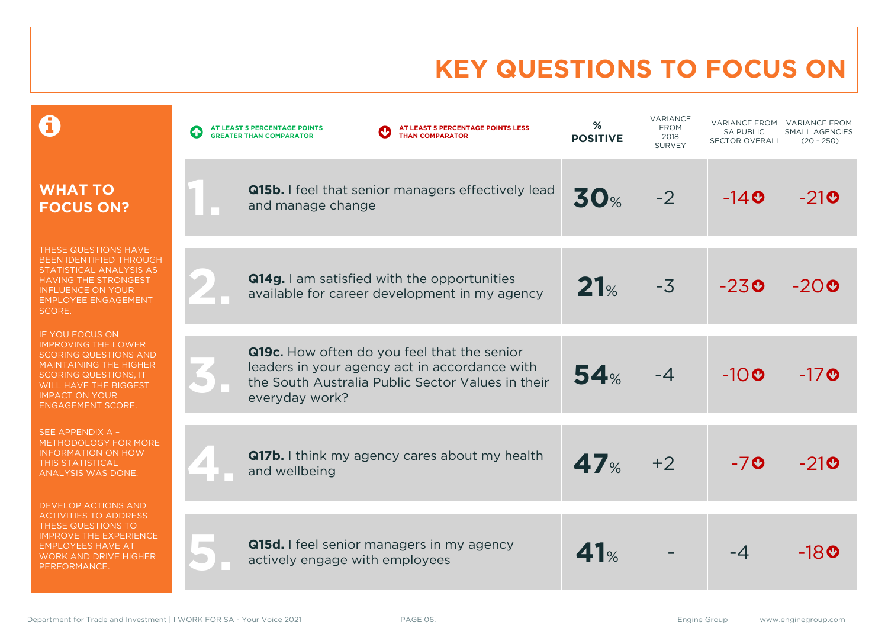# **KEY QUESTIONS TO FOCUS ON**

|                                                                                                                                                                                                                                     | AT LEAST 5 PERCENTAGE POINTS LESS<br>AT LEAST 5 PERCENTAGE POINTS<br>$\bullet$<br><b>THAN COMPARATOR</b><br><b>GREATER THAN COMPARATOR</b>                          | %<br><b>POSITIVE</b> | VARIANCE<br><b>FROM</b><br>2018<br><b>SURVEY</b> | <b>VARIANCE FROM</b><br><b>SA PUBLIC</b><br><b>SECTOR OVERALL</b> | <b>VARIANCE FROM</b><br><b>SMALL AGENCIES</b><br>$(20 - 250)$ |
|-------------------------------------------------------------------------------------------------------------------------------------------------------------------------------------------------------------------------------------|---------------------------------------------------------------------------------------------------------------------------------------------------------------------|----------------------|--------------------------------------------------|-------------------------------------------------------------------|---------------------------------------------------------------|
| <b>WHAT TO</b><br><b>FOCUS ON?</b>                                                                                                                                                                                                  | Q15b. I feel that senior managers effectively lead<br>and manage change                                                                                             | <b>30%</b>           | $-2$                                             | $-140$                                                            | $-21$ O                                                       |
| THESE QUESTIONS HAVE<br>BEEN IDENTIFIED THROUGH<br>STATISTICAL ANALYSIS AS<br><b>HAVING THE STRONGEST</b><br><b>INFLUENCE ON YOUR</b><br><b>EMPLOYEE ENGAGEMENT</b><br>SCORE.                                                       | Q14g. I am satisfied with the opportunities<br>available for career development in my agency                                                                        | 21%                  | $-3$                                             | $-230$                                                            | $-20$ 0                                                       |
| IF YOU FOCUS ON<br><b>IMPROVING THE LOWER</b><br><b>SCORING QUESTIONS AND</b><br><b>MAINTAINING THE HIGHER</b><br><b>SCORING QUESTIONS, IT</b><br><b>WILL HAVE THE BIGGEST</b><br><b>IMPACT ON YOUR</b><br><b>ENGAGEMENT SCORE.</b> | Q19c. How often do you feel that the senior<br>leaders in your agency act in accordance with<br>the South Australia Public Sector Values in their<br>everyday work? | 54%                  | $-4$                                             | $-10o$                                                            | $-17$ <b>O</b>                                                |
| SEE APPENDIX A -<br>METHODOLOGY FOR MORE<br><b>INFORMATION ON HOW</b><br><b>THIS STATISTICAL</b><br><b>ANALYSIS WAS DONE.</b>                                                                                                       | Q17b. I think my agency cares about my health<br>and wellbeing                                                                                                      | 47 <sub>%</sub>      | $+2$                                             | $-70$                                                             | $-210$                                                        |
| <b>DEVELOP ACTIONS AND</b><br><b>ACTIVITIES TO ADDRESS</b><br>THESE QUESTIONS TO<br><b>IMPROVE THE EXPERIENCE</b><br><b>EMPLOYEES HAVE AT</b><br><b>WORK AND DRIVE HIGHER</b><br>PERFORMANCE.                                       | <b>Q15d.</b> I feel senior managers in my agency<br>actively engage with employees                                                                                  | 41%                  |                                                  | $-4$                                                              | -180                                                          |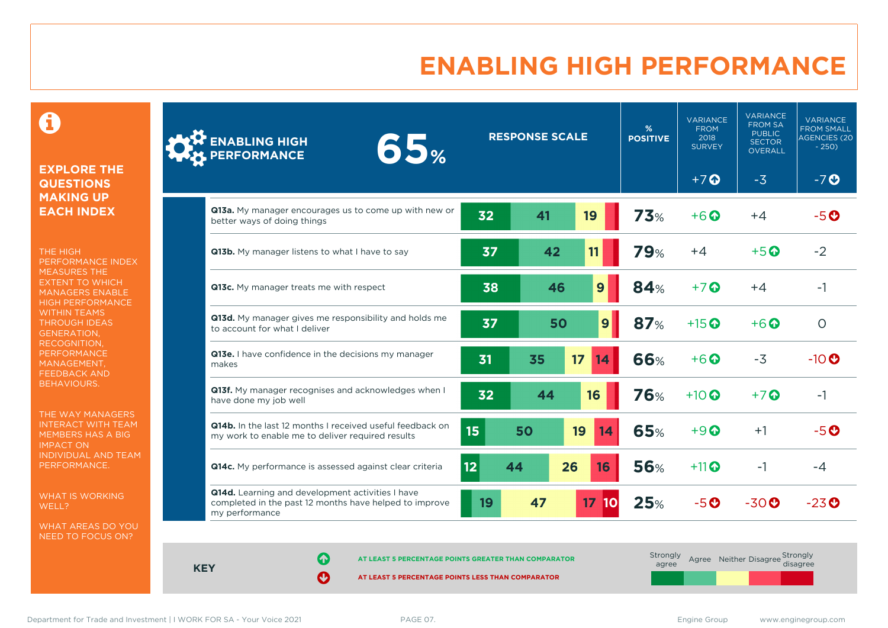## **ENABLING HIGH PERFORMANCE**

 $\mathbf \Theta$ 

#### **EXPLORE THE QUESTIONS MAKING UP EACH INDEX**

THE HIGH PERFORMANCE INDEX MEASURES THE EXTENT TO WHICH MANAGERS ENABLE HIGH PERFORMANCE WITHIN TEAMS THROUGH IDEAS GENERATION, RECOGNITION, **PERFORMANCE** MANAGEMENT, FEEDBACK AND BEHAVIOURS.

THE WAY MANAGERS INTERACT WITH TEAM MEMBERS HAS A BIG IMPACT ON INDIVIDUAL AND TEAM PERFORMANCE.

WHAT IS WORKING WELL?

WHAT AREAS DO YOU NEED TO FOCUS ON?

| <b>ENABLING HIGH</b><br>65%<br><b>PERFORMANCE</b>                                                                            |    | <b>RESPONSE SCALE</b> |                 |              | %<br><b>POSITIVE</b> | <b>VARIANCE</b><br><b>FROM</b><br>2018<br><b>SURVEY</b> | <b>VARIANCE</b><br><b>FROM SA</b><br><b>PUBLIC</b><br><b>SECTOR</b><br><b>OVERALL</b> | <b>VARIANCE</b><br><b>FROM SMALL</b><br><b>AGENCIES (20</b><br>$-250$ |
|------------------------------------------------------------------------------------------------------------------------------|----|-----------------------|-----------------|--------------|----------------------|---------------------------------------------------------|---------------------------------------------------------------------------------------|-----------------------------------------------------------------------|
|                                                                                                                              |    |                       |                 |              |                      | $+7$ $\Omega$                                           | $-3$                                                                                  | $-7o$                                                                 |
| Q13a. My manager encourages us to come up with new or<br>better ways of doing things                                         | 32 | 41                    | 19              |              | <b>73%</b>           | $+6$ $\Omega$                                           | $+4$                                                                                  | $-5o$                                                                 |
| Q13b. My manager listens to what I have to say                                                                               | 37 | 42                    | 11              |              | <b>79%</b>           | $+4$                                                    | $+5$ $\odot$                                                                          | $-2$                                                                  |
| Q13c. My manager treats me with respect                                                                                      | 38 |                       | 46              | 9            | <b>84%</b>           | $+7$ $\odot$                                            | $+4$                                                                                  | $-1$                                                                  |
| Q13d. My manager gives me responsibility and holds me<br>to account for what I deliver                                       | 37 |                       | 50              | $\mathbf{9}$ | 87%                  | $+15$ <sup>O</sup>                                      | $+6$ $\odot$                                                                          | $\circ$                                                               |
| Q13e. I have confidence in the decisions my manager<br>makes                                                                 | 31 | 35                    | 17              | 14           | <b>66%</b>           | $+6$                                                    | $-3$                                                                                  | $-10$ <sup>O</sup>                                                    |
| Q13f. My manager recognises and acknowledges when I<br>have done my job well                                                 | 32 | 44                    | 16              |              | <b>76%</b>           | $+10$ $\odot$                                           | $+7$ $\odot$                                                                          | $-1$                                                                  |
| <b>Q14b.</b> In the last 12 months I received useful feedback on<br>my work to enable me to deliver required results         | 15 | 50                    | 19              | 14           | <b>65%</b>           | $+9$ $\Omega$                                           | $+1$                                                                                  | $-5o$                                                                 |
| Q14c. My performance is assessed against clear criteria                                                                      | 12 | 44                    | 26              | 16           | <b>56%</b>           | $+11$                                                   | $-1$                                                                                  | $-4$                                                                  |
| Q14d. Learning and development activities I have<br>completed in the past 12 months have helped to improve<br>my performance | 19 | 47                    | 17 <sub>2</sub> | 10           | 25%                  | $-5o$                                                   | $-30o$                                                                                | $-23$ <sup>O</sup>                                                    |

**KEY**

**AT LEAST 5 PERCENTAGE POINTS GREATER THAN COMPARATOR** 

| Strongly<br>agree |  | Agree Neither Disagree Strongly<br>disagree |
|-------------------|--|---------------------------------------------|
|                   |  |                                             |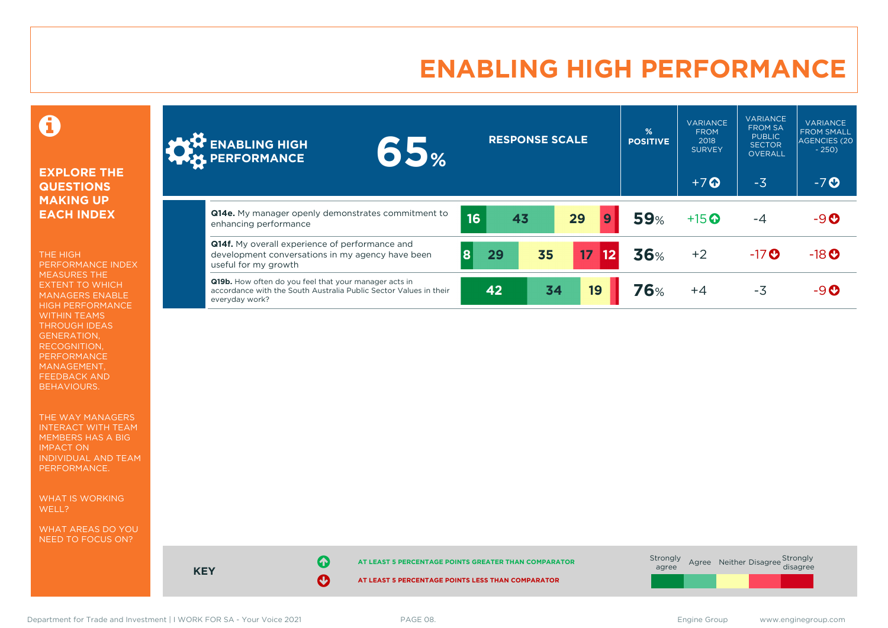### **ENABLING HIGH PERFORMANCE**



#### **EXPLORE THE QUESTIONS MAKING UP EACH INDEX**

THE HIGH PERFORMANCE INDEX MEASURES THE EXTENT TO WHICH MANAGERS ENABLE HIGH PERFORMANCE WITHIN TEAMS THROUGH IDEAS GENERATION, RECOGNITION, PERFORMANCE MANAGEMENT, FEEDBACK AND BEHAVIOURS.

THE WAY MANAGERS INTERACT WITH TEAM MEMBERS HAS A BIG IMPACT ON INDIVIDUAL AND TEAM PERFORMANCE.

WHAT IS WORKING WELL?

WHAT AREAS DO YOU NEED TO FOCUS ON?

| <b>ANTE ENABLING HIGH</b><br>65%                                                                                                                    |    | <b>RESPONSE SCALE</b> |    |                      | %<br><b>POSITIVE</b> | <b>VARIANCE</b><br><b>FROM</b><br>2018<br><b>SURVEY</b> | <b>VARIANCE</b><br><b>FROM SA</b><br><b>PUBLIC</b><br><b>SECTOR</b><br>OVERALL | <b>VARIANCE</b><br><b>FROM SMALL</b><br>AGENCIES (20<br>$-250$ |
|-----------------------------------------------------------------------------------------------------------------------------------------------------|----|-----------------------|----|----------------------|----------------------|---------------------------------------------------------|--------------------------------------------------------------------------------|----------------------------------------------------------------|
|                                                                                                                                                     |    |                       |    |                      |                      | $+7$ $\odot$                                            | $-3$                                                                           | $-7o$                                                          |
| Q14e. My manager openly demonstrates commitment to<br>enhancing performance                                                                         | 16 | 43                    |    | $\overline{9}$<br>29 | <b>59%</b>           | $+15$ <sup>O</sup>                                      | -4                                                                             | $-9O$                                                          |
| <b>Q14f.</b> My overall experience of performance and<br>development conversations in my agency have been<br>useful for my growth                   | 8  | 29                    | 35 | 17<br>$\boxed{12}$   | 36%                  | $+2$                                                    | $-17$ <sup>O</sup>                                                             | $-18$ <sup>O</sup>                                             |
| <b>Q19b.</b> How often do you feel that your manager acts in<br>accordance with the South Australia Public Sector Values in their<br>everyday work? |    | 42                    | 34 | 19                   | 76%                  | $+4$                                                    | $-3$                                                                           | $-9O$                                                          |



**KEY**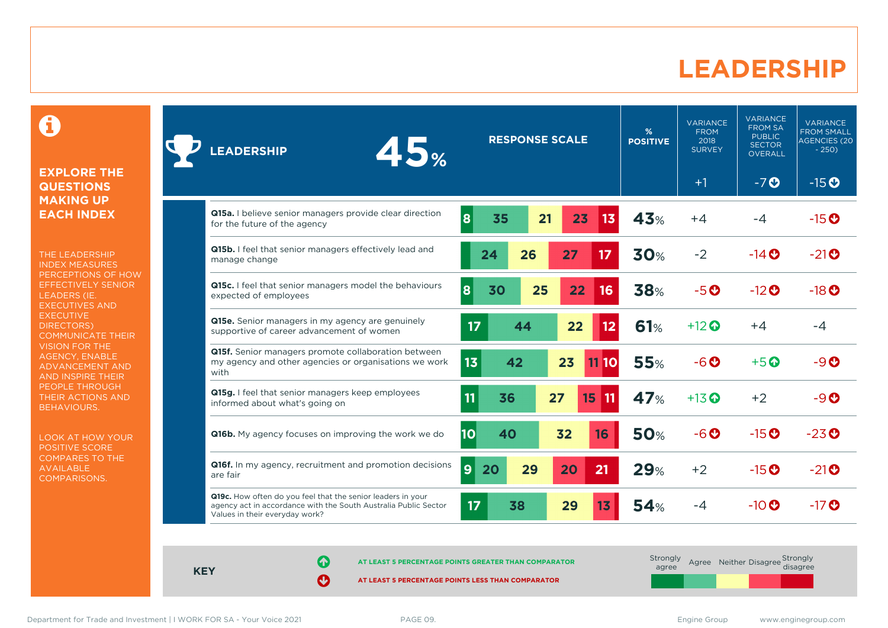### **LEADERSHIP**

0

#### **EXPLORE THE QUESTIONS MAKING UP EACH INDEX**

THE LEADERSHIP INDEX MEASURES PERCEPTIONS OF HOW EFFECTIVELY SENIOR LEADERS (IE. EXECUTIVES AND **EXECUTIVE** DIRECTORS) COMMUNICATE THEIR VISION FOR THE AGENCY, ENABLE ADVANCEMENT AND AND INSPIRE THEIR PEOPLE THROUGH THEIR ACTIONS AND BEHAVIOURS.

LOOK AT HOW YOUR POSITIVE SCORE COMPARES TO THE AVAILABLE COMPARISONS.

| <b>LEADERSHIP</b>                                                                                                                                                | 45%                                                     |                      | <b>RESPONSE SCALE</b> |    |      | %<br><b>POSITIVE</b> | <b>VARIANCE</b><br><b>FROM</b><br>2018<br><b>SURVEY</b> | <b>VARIANCE</b><br><b>FROM SA</b><br><b>PUBLIC</b><br><b>SECTOR</b><br>OVERALL | <b>VARIANCE</b><br><b>FROM SMALL</b><br><b>AGENCIES (20</b><br>$-250$ |
|------------------------------------------------------------------------------------------------------------------------------------------------------------------|---------------------------------------------------------|----------------------|-----------------------|----|------|----------------------|---------------------------------------------------------|--------------------------------------------------------------------------------|-----------------------------------------------------------------------|
|                                                                                                                                                                  |                                                         |                      |                       |    |      |                      | $+1$                                                    | $-7o$                                                                          | $-15$ <sup>O</sup>                                                    |
| Q15a. I believe senior managers provide clear direction<br>for the future of the agency                                                                          |                                                         | 8<br>35              | 21                    | 23 | 13   | 43%                  | $+4$                                                    | -4                                                                             | $-15$ <sup>O</sup>                                                    |
| Q15b. I feel that senior managers effectively lead and<br>manage change                                                                                          |                                                         | 24                   | 26                    | 27 | 17   | 30%                  | $-2$                                                    | $-14$ $\odot$                                                                  | $-21$ <sup>O</sup>                                                    |
| Q15c. I feel that senior managers model the behaviours<br>expected of employees                                                                                  |                                                         | 8<br>30              | 25                    | 22 | 16   | 38%                  | $-5o$                                                   | $-12$ <sup>O</sup>                                                             | $-18$ <sup>O</sup>                                                    |
| Q15e. Senior managers in my agency are genuinely<br>supportive of career advancement of women                                                                    |                                                         | 17                   | 44                    | 22 | 12   | 61%                  | $+12$ $\odot$                                           | $+4$                                                                           | -4                                                                    |
| Q15f. Senior managers promote collaboration between<br>with                                                                                                      | my agency and other agencies or organisations we work   | 13<br>42             |                       | 23 | 1110 | <b>55%</b>           | $-6o$                                                   | $+5$ <sup>O</sup>                                                              | $-9o$                                                                 |
| Q15g. I feel that senior managers keep employees<br>informed about what's going on                                                                               |                                                         | 11<br>36             | 27                    | 15 | 11   | <b>47%</b>           | $+13$ $\odot$                                           | $+2$                                                                           | $-9$ $O$                                                              |
| <b>Q16b.</b> My agency focuses on improving the work we do                                                                                                       |                                                         | 10<br>40             |                       | 32 | 16   | <b>50%</b>           | $-6o$                                                   | $-15$ <sup>O</sup>                                                             | $-23$ <sup>O</sup>                                                    |
| are fair                                                                                                                                                         | Q16f. In my agency, recruitment and promotion decisions | $\overline{9}$<br>20 | 29                    | 20 | 21   | 29%                  | $+2$                                                    | $-15$ <sup>O</sup>                                                             | $-21$ <sup>O</sup>                                                    |
| Q19c. How often do you feel that the senior leaders in your<br>agency act in accordance with the South Australia Public Sector<br>Values in their everyday work? |                                                         | 17<br>38             |                       | 29 | 13   | 54%                  | $-4$                                                    | $-10$ <sup>O</sup>                                                             | $-17$ $\odot$                                                         |

**KEY**

**AT LEAST 5 PERCENTAGE POINTS GREATER THAN COMPARATOR**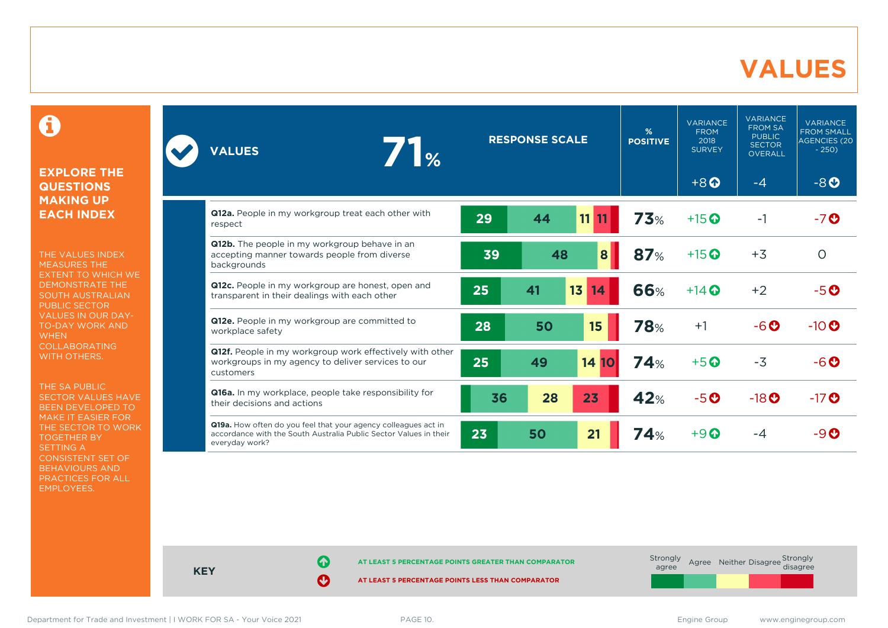### **VALUES**

0

#### **EXPLORE THE QUESTIONS MAKING UP EACH INDEX**

THE VALUES INDEX MEASURES THE EXTENT TO WHICH WE DEMONSTRATE THE SOUTH AUSTRALIAN PUBLIC SECTOR VALUES IN OUR DAY-TO-DAY WORK AND **WHEN** COLLABORATING WITH OTHERS.

THE SA PUBLIC SECTOR VALUES HAVE BEEN DEVELOPED TO MAKE IT EASIER FOR THE SECTOR TO WORK TOGETHER BY SETTING A CONSISTENT SET OF BEHAVIOURS AND PRACTICES FOR ALL EMPLOYEES.

| 71%<br><b>VALUES</b>                                                                                                                                  | <b>RESPONSE SCALE</b><br><b>POSITIVE</b> |    |                 |            | <b>VARIANCE</b><br><b>FROM</b><br>2018<br><b>SURVEY</b> | <b>VARIANCE</b><br><b>FROM SA</b><br><b>PUBLIC</b><br><b>SECTOR</b><br><b>OVERALL</b> | <b>VARIANCE</b><br><b>FROM SMALL</b><br><b>AGENCIES (20)</b><br>$-250$ |
|-------------------------------------------------------------------------------------------------------------------------------------------------------|------------------------------------------|----|-----------------|------------|---------------------------------------------------------|---------------------------------------------------------------------------------------|------------------------------------------------------------------------|
|                                                                                                                                                       |                                          |    |                 |            | $+8$ <sup><math>\odot</math></sup>                      | -4                                                                                    | $-8o$                                                                  |
| Q12a. People in my workgroup treat each other with<br>respect                                                                                         | 29                                       | 44 | 11 11           | 73%        | $+15$ <sup>O</sup>                                      | $-1$                                                                                  | -70                                                                    |
| Q12b. The people in my workgroup behave in an<br>accepting manner towards people from diverse<br>backgrounds                                          | 39                                       | 48 | 8               | 87%        | $+15$ <sup>O</sup>                                      | $+3$                                                                                  | $\circ$                                                                |
| Q12c. People in my workgroup are honest, open and<br>transparent in their dealings with each other                                                    | 25                                       | 41 | 13<br>14        | <b>66%</b> | $+14$ $\odot$                                           | $+2$                                                                                  | $-5$ $\odot$                                                           |
| Q12e. People in my workgroup are committed to<br>workplace safety                                                                                     | 28                                       | 50 | 15              | <b>78%</b> | $+1$                                                    | $-6o$                                                                                 | $-10$ <sup>O</sup>                                                     |
| Q12f. People in my workgroup work effectively with other<br>workgroups in my agency to deliver services to our<br>customers                           | 25                                       | 49 | 14<br><b>10</b> | 74%        | $+5$ <sup><math>\odot</math></sup>                      | $-3$                                                                                  | $-6$ $\odot$                                                           |
| Q16a. In my workplace, people take responsibility for<br>their decisions and actions                                                                  | 36                                       | 28 | 23              | 42%        | $-5o$                                                   | $-18$ <sup>O</sup>                                                                    | $-17$ <sup>O</sup>                                                     |
| Q19a. How often do you feel that your agency colleagues act in<br>accordance with the South Australia Public Sector Values in their<br>everyday work? | 23                                       | 50 | 21              | <b>74%</b> | $+9$ $\odot$                                            | $-4$                                                                                  | -90                                                                    |



**KEY**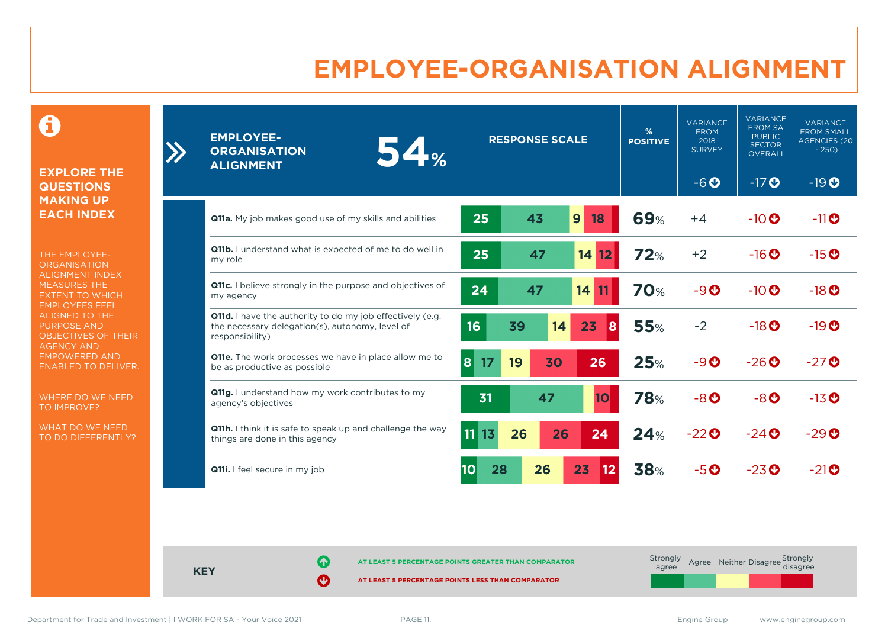## **EMPLOYEE-ORGANISATION ALIGNMENT**

0

**EXPLORE THE QUESTIONS MAKING UP EACH INDEX**

 $\sum$ 

THE EMPLOYEE-**ORGANISATION** ALIGNMENT INDEX MEASURES THE EXTENT TO WHICH EMPLOYEES FEEL ALIGNED TO THE PURPOSE AND OBJECTIVES OF THEIR AGENCY AND EMPOWERED AND ENABLED TO DELIVER.

WHERE DO WE NEED TO IMPROVE?

WHAT DO WE NEED TO DO DIFFERENTLY?

| <b>EMPLOYEE-</b><br>54%<br><b>ORGANISATION</b><br><b>ALIGNMENT</b>                                                                     | <b>RESPONSE SCALE</b>        | %<br><b>POSITIVE</b> | <b>VARIANCE</b><br><b>FROM</b><br>2018<br><b>SURVEY</b> | <b>VARIANCE</b><br><b>FROM SA</b><br><b>PUBLIC</b><br><b>SECTOR</b><br><b>OVERALL</b> | <b>VARIANCE</b><br><b>FROM SMALL</b><br>AGENCIES (20<br>$-250$ |
|----------------------------------------------------------------------------------------------------------------------------------------|------------------------------|----------------------|---------------------------------------------------------|---------------------------------------------------------------------------------------|----------------------------------------------------------------|
|                                                                                                                                        |                              |                      | $-6o$                                                   | $-17$ <sup>O</sup>                                                                    | $-19O$                                                         |
| Q11a. My job makes good use of my skills and abilities                                                                                 | 25<br>9<br>43<br>18          | <b>69%</b>           | $+4$                                                    | $-10$ <sup>O</sup>                                                                    | $-11$ <sup><math>\odot</math></sup>                            |
| <b>Q11b.</b> I understand what is expected of me to do well in<br>my role                                                              | 25<br>47<br>$14$ 12          | 72%                  | $+2$                                                    | $-16$ <sup>O</sup>                                                                    | $-15$ <sup>O</sup>                                             |
| <b>Q11c.</b> I believe strongly in the purpose and objectives of<br>my agency                                                          | 24<br>47<br>14               | <b>70%</b>           | $-9O$                                                   | $-10$                                                                                 | $-18$ <sup>O</sup>                                             |
| <b>Q11d.</b> I have the authority to do my job effectively (e.g.<br>the necessary delegation(s), autonomy, level of<br>responsibility) | 16<br>39<br>23<br>14<br>8    | <b>55%</b>           | $-2$                                                    | $-18$ <sup>O</sup>                                                                    | $-19$ <sup>O</sup>                                             |
| Q11e. The work processes we have in place allow me to<br>be as productive as possible                                                  | 26<br>19<br>30<br>8<br>17    | 25%                  | $-9O$                                                   | $-26$ <sup>O</sup>                                                                    | $-27$ <sup>O</sup>                                             |
| Q11g. I understand how my work contributes to my<br>agency's objectives                                                                | 31<br>47<br>10               | <b>78%</b>           | $-8o$                                                   | $-8$ O                                                                                | $-13$ <sup>O</sup>                                             |
| Q11h. I think it is safe to speak up and challenge the way<br>things are done in this agency                                           | 11<br>  13<br>26<br>26<br>24 | 24%                  | $-22$ <sup><math>\odot</math></sup>                     | $-24$ $\odot$                                                                         | $-29$ <sup><math>\odot</math></sup>                            |
| <b>Q11i.</b> I feel secure in my job                                                                                                   | 26<br>23<br>28<br>10<br>12   | <b>38%</b>           | $-5o$                                                   | $-23$ <sup>O</sup>                                                                    | $-21$ <sup>O</sup>                                             |

**KEY**

**AT LEAST 5 PERCENTAGE POINTS GREATER THAN COMPARATOR**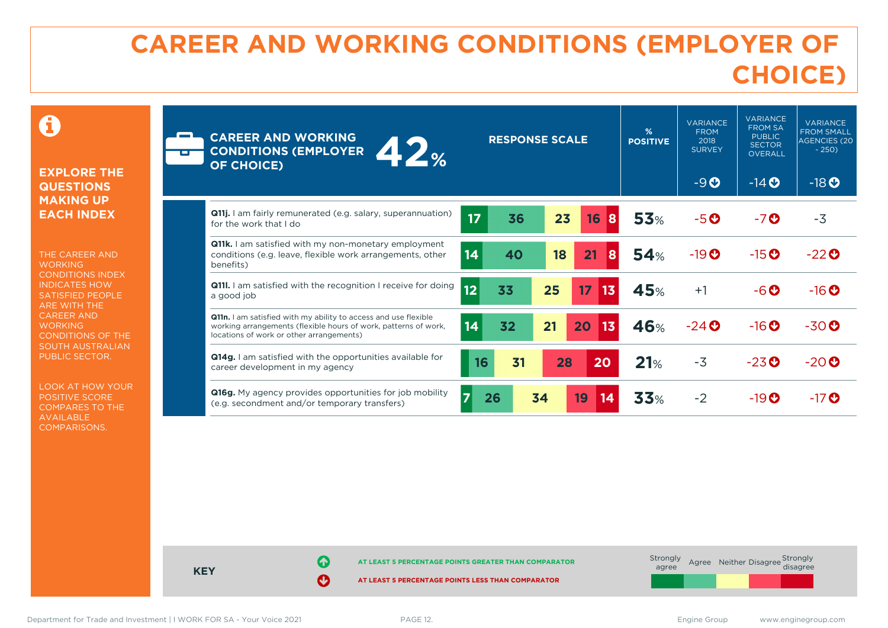# **CAREER AND WORKING CONDITIONS (EMPLOYER OF CHOICE)**

 $\mathbf \Omega$ 

#### **EXPLORE THE QUESTIONS MAKING UP EACH INDEX**

THE CAREER AND **WORKING** CONDITIONS INDEX INDICATES HOW SATISFIED PEOPLE ARE WITH THE CAREER AND **WORKING** CONDITIONS OF THE SOUTH AUSTRALIAN PUBLIC SECTOR.

LOOK AT HOW YOUR POSITIVE SCORE COMPARES TO THE AVAILABLE COMPARISONS.

| m | <b>CAREER AND WORKING</b><br>12%<br><b>CONDITIONS (EMPLOYER</b><br><b>OF CHOICE)</b>                                                                                           |                | <b>RESPONSE SCALE</b> |    |          | %<br><b>POSITIVE</b> | <b>VARIANCE</b><br><b>FROM</b><br>2018<br><b>SURVEY</b><br>$-9O$ | <b>VARIANCE</b><br><b>FROM SA</b><br><b>PUBLIC</b><br><b>SECTOR</b><br><b>OVERALL</b><br>$-14$ <b>O</b> | <b>VARIANCE</b><br><b>FROM SMALL</b><br><b>AGENCIES (20</b><br>$-250$<br>$-18$ <sup>O</sup> |
|---|--------------------------------------------------------------------------------------------------------------------------------------------------------------------------------|----------------|-----------------------|----|----------|----------------------|------------------------------------------------------------------|---------------------------------------------------------------------------------------------------------|---------------------------------------------------------------------------------------------|
|   | <b>Q11j.</b> I am fairly remunerated (e.g. salary, superannuation)<br>for the work that I do                                                                                   | 17             | 36                    | 23 | 16<br>8  | <b>53%</b>           | $-5o$                                                            | $-7o$                                                                                                   | $-3$                                                                                        |
|   | Q11k. I am satisfied with my non-monetary employment<br>conditions (e.g. leave, flexible work arrangements, other<br>benefits)                                                 | 14             | 40                    | 18 | 21<br>8  | 54%                  | $-19$ <sup><math>\odot</math></sup>                              | $-15$ <sup><math>\odot</math></sup>                                                                     | $-22$ <sup>O</sup>                                                                          |
|   | <b>Q111.</b> I am satisfied with the recognition I receive for doing<br>a good job                                                                                             | 12             | 33                    | 25 | 17<br>13 | 45%                  | $+1$                                                             | $-6$ $\odot$                                                                                            | $-16$ <sup>O</sup>                                                                          |
|   | Q11n. I am satisfied with my ability to access and use flexible<br>working arrangements (flexible hours of work, patterns of work,<br>locations of work or other arrangements) | 14             | 32                    | 21 | 13<br>20 | 46%                  | $-24$ $\odot$                                                    | $-16$ <sup>O</sup>                                                                                      | $-30$ <sup>O</sup>                                                                          |
|   | <b>Q14g.</b> I am satisfied with the opportunities available for<br>career development in my agency                                                                            | 16             | 31                    | 28 | 20       | 21%                  | $-3$                                                             | $-23$ <sup>O</sup>                                                                                      | $-20$ <sup>O</sup>                                                                          |
|   | Q16g. My agency provides opportunities for job mobility<br>(e.g. secondment and/or temporary transfers)                                                                        | $\overline{7}$ | 26                    | 34 | 19<br>14 | 33%                  | $-2$                                                             | $-19$ <sup><math>\odot</math></sup>                                                                     | $-17$ $\odot$                                                                               |

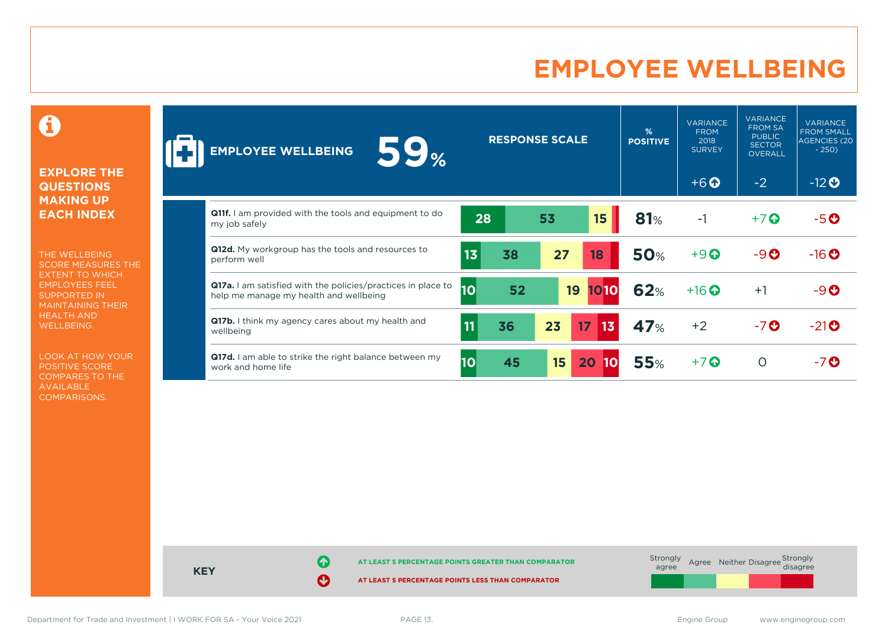### **EMPLOYEE WELLBEING**

0

#### **EXPLORE THE QUESTIONS MAKING UP EACH INDEX**

THE WELLBEING SCORE MEASURES THE EXTENT TO WHICH EMPLOYEES FEEL SUPPORTED IN MAINTAINING THEIR HEALTH AND WELLBEING.

LOOK AT HOW YOUR POSITIVE SCORE COMPARES TO THE AVAILABLE COMPARISONS.

| <b>59%</b><br><b>EMPLOYEE WELLBEING</b>                                                                       |                 | <b>RESPONSE SCALE</b> |    |                       | %<br><b>POSITIVE</b> | <b>VARIANCE</b><br><b>FROM</b><br>2018<br><b>SURVEY</b> | <b>VARIANCE</b><br><b>FROM SA</b><br><b>PUBLIC</b><br><b>SECTOR</b><br><b>OVERALL</b> | <b>VARIANCE</b><br><b>FROM SMALL</b><br><b>AGENCIES (20)</b><br>$-250$ |
|---------------------------------------------------------------------------------------------------------------|-----------------|-----------------------|----|-----------------------|----------------------|---------------------------------------------------------|---------------------------------------------------------------------------------------|------------------------------------------------------------------------|
|                                                                                                               |                 |                       |    |                       |                      | $+6$ $\odot$                                            | $-2$                                                                                  | $-12$ <b>O</b>                                                         |
| <b>Q11f.</b> I am provided with the tools and equipment to do<br>my job safely                                | 28              |                       | 53 | 15 <sub>15</sub>      | 81%                  | $-1$                                                    | $+7$                                                                                  | $-5o$                                                                  |
| Q12d. My workgroup has the tools and resources to<br>perform well                                             | 13              | 38                    | 27 | 18                    | <b>50%</b>           | $+9$                                                    | $-9O$                                                                                 | $-16o$                                                                 |
| <b>Q17a.</b> I am satisfied with the policies/practices in place to<br>help me manage my health and wellbeing | $\overline{10}$ | 52                    | 19 | 1010                  | 62%                  | $+16$ $\odot$                                           | $+1$                                                                                  | $-9O$                                                                  |
| <b>Q17b.</b> I think my agency cares about my health and<br>wellbeing                                         | 11              | 36                    | 23 | 17 <sup>2</sup><br>43 | <b>47%</b>           | $+2$                                                    | $-7o$                                                                                 | $-21$ <sup>O</sup>                                                     |
| <b>Q17d.</b> I am able to strike the right balance between my<br>work and home life                           | 10              | 45                    | 15 | 20                    | <b>55%</b>           | $+7$ <sup>O</sup>                                       | O                                                                                     | -70                                                                    |



Department for Trade and Investment | I WORK FOR SA - Your Voice 2021 PAGE 13. PAGE 13.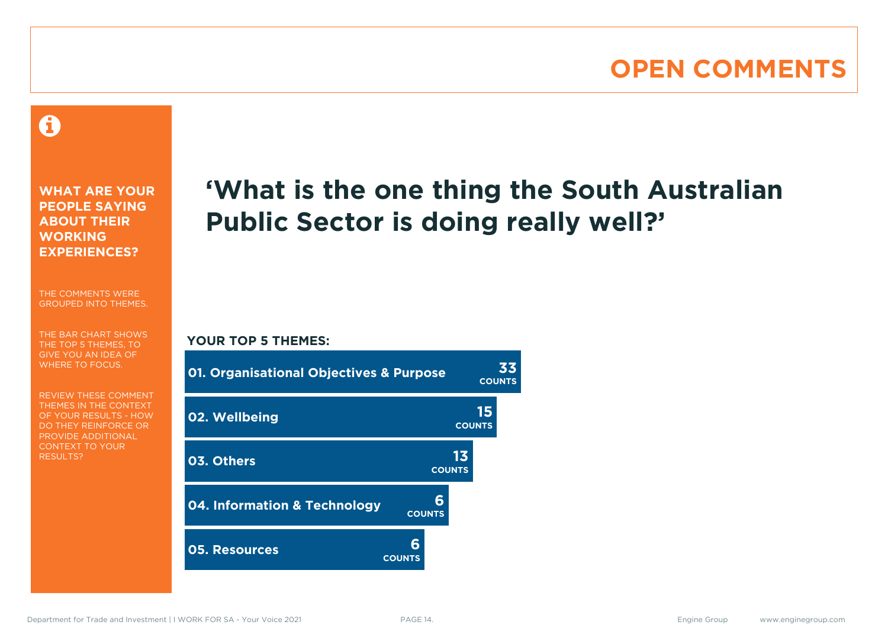### **OPEN COMMENTS**

### Ô

**WHAT ARE YOUR PEOPLE SAYING ABOUT THEIR WORKING EXPERIENCES?**

THE COMMENTS WERE GROUPED INTO THEMES.

THE BAR CHART SHOWS THE TOP 5 THEMES, TO GIVE YOU AN IDEA OF WHERE TO FOCUS.

REVIEW THESE COMMENT THEMES IN THE CONTEXT OF YOUR RESULTS - HOW DO THEY REINFORCE OR PROVIDE ADDITIONAL CONTEXT TO YOUR **RESULTS?** 

# **'What is the one thing the South Australian Public Sector is doing really well?'**

#### **YOUR TOP 5 THEMES:**

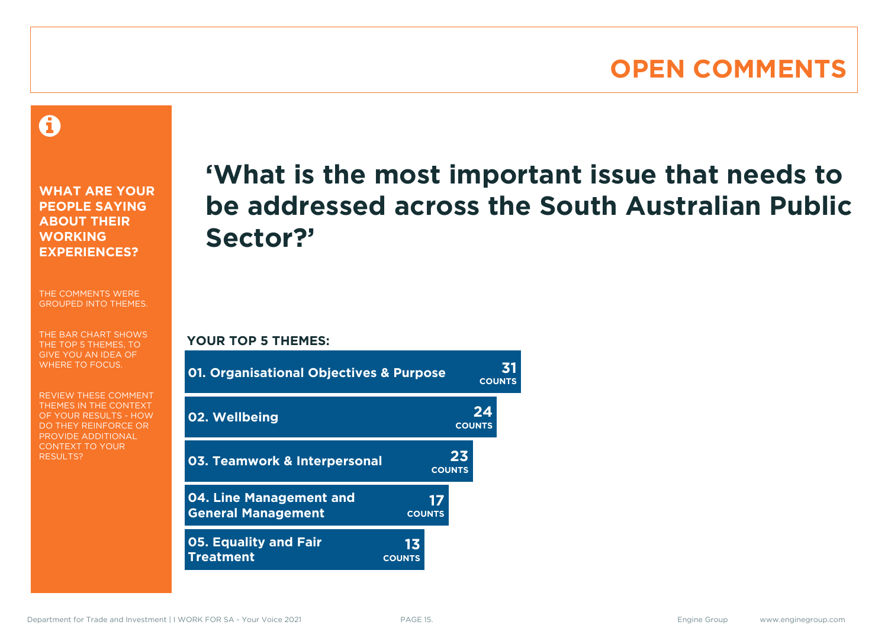### **OPEN COMMENTS**

A

**WHAT ARE YOUR PEOPLE SAYING ABOUT THEIR WORKING EXPERIENCES?**

THE COMMENTS WERE GROUPED INTO THEMES.

THE BAR CHART SHOWS THE TOP 5 THEMES, TO GIVE YOU AN IDEA OF WHERE TO FOCUS.

REVIEW THESE COMMENT THEMES IN THE CONTEXT OF YOUR RESULTS - HOW DO THEY REINFORCE OR PROVIDE ADDITIONAL CONTEXT TO YOUR **RESULTS?** 

# **'What is the most important issue that needs to be addressed across the South Australian Public Sector?'**

**YOUR TOP 5 THEMES:**

| <b>01. Organisational Objectives &amp; Purpose</b>   |                     |                     | <b>COUNTS</b> |
|------------------------------------------------------|---------------------|---------------------|---------------|
| 02. Wellbeing                                        |                     | 24<br><b>COUNTS</b> |               |
| <b>03. Teamwork &amp; Interpersonal</b>              |                     | 23<br><b>COUNTS</b> |               |
| 04. Line Management and<br><b>General Management</b> | 17<br><b>COUNTS</b> |                     |               |
| <b>05. Equality and Fair</b><br><b>Treatment</b>     | 13<br><b>COUNTS</b> |                     |               |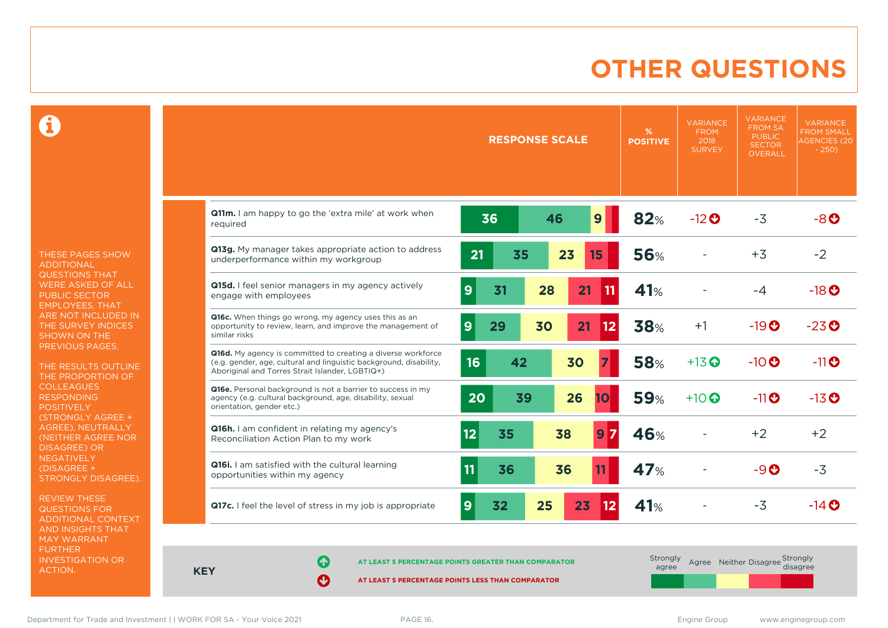### **OTHER QUESTIONS**

0

THESE PAGES SHOW ADDITIONAL QUESTIONS THAT WERE ASKED OF ALL PUBLIC SECTOR EMPLOYEES, THAT ARE NOT INCLUDED IN THE SURVEY INDICES SHOWN ON THE PREVIOUS PAGES.

THE RESULTS OUTLINE THE PROPORTION OF COLLEAGUES RESPONDING **POSITIVELY** (STRONGLY AGREE + AGREE), NEUTRALLY (NEITHER AGREE NOR DISAGREE) OR NEGATIVELY (DISAGREE + STRONGLY DISAGREE).

REVIEW THESE QUESTIONS FOR ADDITIONAL CONTEXT AND INSIGHTS THAT MAY WARRANT FURTHER INVESTIGATION OR ACTION.

|                                                                                                                                                                                       | <b>RESPONSE SCALE</b>       | %<br><b>POSITIVE</b>          | <b>VARIANCE</b><br><b>FROM</b><br>2018<br><b>SURVEY</b> | <b>VARIANCE</b><br><b>FROM SA</b><br><b>PUBLIC</b><br><b>SECTOR</b><br><b>OVERALL</b> | <b>VARIANCE</b><br><b>FROM SMALL</b><br><b>AGENCIES (20</b><br>$-250$ |
|---------------------------------------------------------------------------------------------------------------------------------------------------------------------------------------|-----------------------------|-------------------------------|---------------------------------------------------------|---------------------------------------------------------------------------------------|-----------------------------------------------------------------------|
| Q11m. I am happy to go the 'extra mile' at work when<br>required                                                                                                                      | 9<br>36<br>46               | 82%                           | $-12$ <sup>O</sup>                                      | $-3$                                                                                  | $-8o$                                                                 |
| Q13g. My manager takes appropriate action to address<br>underperformance within my workgroup                                                                                          | 21<br>23<br>35<br>15        | <b>56%</b>                    |                                                         | $+3$                                                                                  | $-2$                                                                  |
| Q15d. I feel senior managers in my agency actively<br>engage with employees                                                                                                           | 9<br>31<br>28<br>21         | 41%<br>11                     |                                                         | $-4$                                                                                  | $-18$ <sup>O</sup>                                                    |
| Q16c. When things go wrong, my agency uses this as an<br>opportunity to review, learn, and improve the management of<br>similar risks                                                 | 9<br>30<br>29<br>21         | <b>38%</b><br>12              | $+1$                                                    | $-19O$                                                                                | $-23o$                                                                |
| Q16d. My agency is committed to creating a diverse workforce<br>(e.g. gender, age, cultural and linguistic background, disability,<br>Aboriginal and Torres Strait Islander, LGBTIQ+) | 16<br>42<br>30              | <b>58%</b><br>7               | $+13$ <sup>O</sup>                                      | $-10$ <sup>O</sup>                                                                    | $-11$ <sup>O</sup>                                                    |
| Q16e. Personal background is not a barrier to success in my<br>agency (e.g. cultural background, age, disability, sexual<br>orientation, gender etc.)                                 | 20<br>39<br>26              | <b>59%</b><br>10 <sub>l</sub> | $+10$ $\odot$                                           | $-11$ <sup>O</sup>                                                                    | $-13$ <sup>O</sup>                                                    |
| Q16h. I am confident in relating my agency's<br>Reconciliation Action Plan to my work                                                                                                 | 12 <sub>2</sub><br>35<br>38 | 46%<br>7<br>9                 |                                                         | $+2$                                                                                  | $+2$                                                                  |
| Q16i. I am satisfied with the cultural learning<br>opportunities within my agency                                                                                                     | 11<br>36<br>36              | 47%<br>11                     |                                                         | $-9$ $\odot$                                                                          | $-3$                                                                  |
| Q17c. I feel the level of stress in my job is appropriate                                                                                                                             | 25<br>23<br>9<br>32         | 41%<br>12                     |                                                         | $-3$                                                                                  | $-14$ $\odot$                                                         |

**KEY**

**AT LEAST 5 PERCENTAGE POINTS GREATER THAN COMPARATOR** 

| Strongly<br>agree |  | Agree Neither Disagree Strongly<br>disagree |
|-------------------|--|---------------------------------------------|
|                   |  |                                             |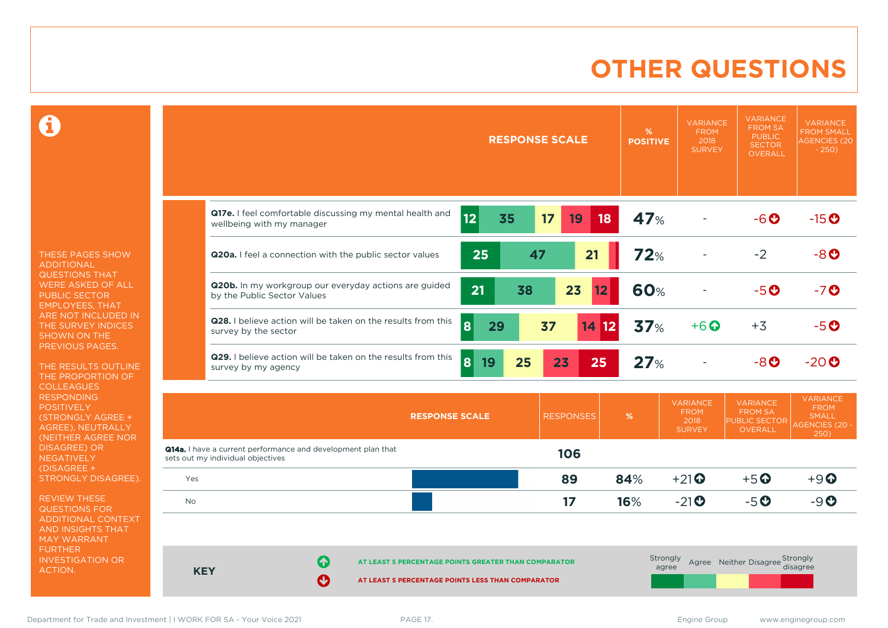### **OTHER QUESTIONS**

Ô

THESE PAGES SHOW ADDITIONAL QUESTIONS THAT WERE ASKED OF ALL PUBLIC SECTOR EMPLOYEES, THAT ARE NOT INCLUDED IN THE SURVEY INDICES SHOWN ON THE PREVIOUS PAGES.

THE RESULTS OUTLINE THE PROPORTION OF **COLLEAGUES** RESPONDING POSITIVELY (STRONGLY AGREE + AGREE), NEUTRALLY (NEITHER AGREE NOR **NEGATIVELY** (DISAGREE + STRONGLY DISAGREE).

REVIEW THESE QUESTIONS FOR ADDITIONAL CONTEXT AND INSIGHTS THAT MAY WARRANT FURTHER INVESTIGATION OR ACTION.

|                                                                                                          |          | <b>RESPONSE SCALE</b> |                  | %<br><b>POSITIVE</b> | <b>VARIANCE</b><br><b>FROM</b><br>2018<br><b>SURVEY</b> | <b>VARIANCE</b><br><b>FROM SA</b><br><b>PUBLIC</b><br><b>SECTOR</b><br><b>OVERALL</b> | <b>VARIANCE</b><br><b>FROM SMALL</b><br><b>AGENCIES (20</b><br>$-250$           |
|----------------------------------------------------------------------------------------------------------|----------|-----------------------|------------------|----------------------|---------------------------------------------------------|---------------------------------------------------------------------------------------|---------------------------------------------------------------------------------|
| Q17e. I feel comfortable discussing my mental health and<br>wellbeing with my manager                    | 12<br>35 | 17                    | 19<br>18         | 47%                  |                                                         | -60                                                                                   | $-15$ <sup>O</sup>                                                              |
| Q20a. I feel a connection with the public sector values                                                  | 25       | 47                    | 21               | <b>72%</b>           |                                                         | $-2$                                                                                  | $-8o$                                                                           |
| Q20b. In my workgroup our everyday actions are guided<br>by the Public Sector Values                     | 21       | 38                    | 23<br>12         | <b>60%</b>           |                                                         | $-5o$                                                                                 | $-7o$                                                                           |
| Q28. I believe action will be taken on the results from this<br>survey by the sector                     | 8<br>29  | 37                    | 14<br> 12        | 37%                  | $+6$ <sup>O</sup>                                       | $+3$                                                                                  | $-5o$                                                                           |
| Q29. I believe action will be taken on the results from this<br>survey by my agency                      | 8 <br>19 | 25<br>23              | 25               | 27%                  |                                                         | $-8$ $O$                                                                              | $-20o$                                                                          |
| <b>RESPONSE SCALE</b>                                                                                    |          |                       | <b>RESPONSES</b> | %                    | <b>VARIANCE</b><br><b>FROM</b><br>2018<br><b>SURVEY</b> | <b>VARIANCE</b><br><b>FROM SA</b><br><b>PUBLIC SECTOR</b><br><b>OVERALL</b>           | <b>VARIANCE</b><br><b>FROM</b><br><b>SMALL</b><br><b>AGENCIES (20 -</b><br>250) |
| <b>Q14a.</b> I have a current performance and development plan that<br>sets out my individual objectives |          |                       | 106              |                      |                                                         |                                                                                       |                                                                                 |

| sets out my marviagar objectives |    |                                                      |     |                                     |                                 |              |
|----------------------------------|----|------------------------------------------------------|-----|-------------------------------------|---------------------------------|--------------|
| Yes                              |    | 89                                                   | 84% | $+21$ <sup><math>\odot</math></sup> | $+5$ <sup>O</sup>               | $+9$ $\odot$ |
| <b>No</b>                        |    | 17                                                   | 16% | $-21$ <sup>O</sup>                  | $-5o$                           | $-9O$        |
|                                  |    |                                                      |     |                                     |                                 |              |
|                                  |    |                                                      |     |                                     |                                 |              |
| <b>KEY</b>                       | GY | AT LEAST 5 PERCENTAGE POINTS GREATER THAN COMPARATOR |     | Strongly<br>agree                   | Agree Neither Disagree Strongly |              |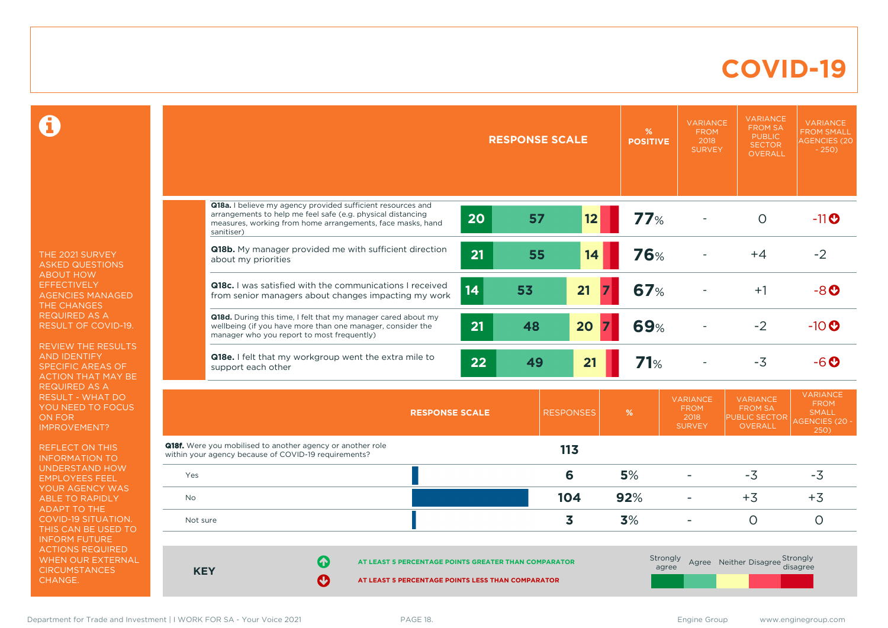### **COVID-19**

 $\mathbf \Omega$ 

THE 2021 SURVEY ASKED QUESTIONS ABOUT HOW EFFECTIVELY AGENCIES MANAGED THE CHANGES REQUIRED AS A RESULT OF COVID-19.

REVIEW THE RESULTS AND IDENTIFY SPECIFIC AREAS OF ACTION THAT MAY BE REQUIRED AS A RESULT - WHAT DO YOU NEED TO FOCUS ON FOR IMPROVEMENT?

REFLECT ON THIS INFORMATION TO UNDERSTAND HOW EMPLOYEES FEEL YOUR AGENCY WAS ABLE TO RAPIDLY ADAPT TO THE COVID-19 SITUATION. THIS CAN BE USED TO INFORM FUTURE ACTIONS REQUIRED WHEN OUR EXTERNAL **CIRCUMSTANCES** CHANGE.

|            |                                                                                                                                                                                                        |    | <b>RESPONSE SCALE</b> |                  | %<br><b>POSITIVE</b> | <b>VARIANCE</b><br><b>FROM</b><br>2018<br><b>SURVEY</b> | <b>VARIANCE</b><br><b>FROM SA</b><br><b>PUBLIC</b><br><b>SECTOR</b><br><b>OVERALL</b> | <b>VARIANCE</b><br><b>FROM SMALL</b><br><b>AGENCIES (20)</b><br>$-250$          |
|------------|--------------------------------------------------------------------------------------------------------------------------------------------------------------------------------------------------------|----|-----------------------|------------------|----------------------|---------------------------------------------------------|---------------------------------------------------------------------------------------|---------------------------------------------------------------------------------|
|            |                                                                                                                                                                                                        |    |                       |                  |                      |                                                         |                                                                                       |                                                                                 |
|            | Q18a. I believe my agency provided sufficient resources and<br>arrangements to help me feel safe (e.g. physical distancing<br>measures, working from home arrangements, face masks, hand<br>sanitiser) | 20 | 57                    | 12               | 77%                  |                                                         | $\circ$                                                                               | $-11$ <sup>O</sup>                                                              |
|            | Q18b. My manager provided me with sufficient direction<br>about my priorities                                                                                                                          | 21 | 55                    | 14               | <b>76%</b>           |                                                         | $+4$                                                                                  | $-2$                                                                            |
|            | <b>Q18c.</b> I was satisfied with the communications I received<br>from senior managers about changes impacting my work                                                                                | 14 | 53                    | 21               | <b>67%</b>           |                                                         | $+1$                                                                                  | $-8o$                                                                           |
|            | Q18d. During this time, I felt that my manager cared about my<br>wellbeing (if you have more than one manager, consider the<br>manager who you report to most frequently)                              | 21 | 48                    | 20               | <b>69%</b>           |                                                         | $-2$                                                                                  | $-10$ <sup>O</sup>                                                              |
|            | Q18e. I felt that my workgroup went the extra mile to<br>support each other                                                                                                                            | 22 | 49                    | 21               | 71%                  |                                                         | $-3$                                                                                  | $-6o$                                                                           |
|            | <b>RESPONSE SCALE</b>                                                                                                                                                                                  |    |                       | <b>RESPONSES</b> | %                    | <b>VARIANCE</b><br><b>FROM</b><br>2018<br><b>SURVEY</b> | <b>VARIANCE</b><br><b>FROM SA</b><br>PUBLIC SECTOR<br><b>OVERALL</b>                  | <b>VARIANCE</b><br><b>FROM</b><br><b>SMALL</b><br><b>AGENCIES (20 -</b><br>250) |
|            | <b>Q18f.</b> Were you mobilised to another agency or another role<br>within your agency because of COVID-19 requirements?                                                                              |    |                       | 113              |                      |                                                         |                                                                                       |                                                                                 |
| Yes        |                                                                                                                                                                                                        |    |                       | 6                | 5%                   |                                                         | $-3$                                                                                  | $-3$                                                                            |
| No         |                                                                                                                                                                                                        |    |                       | 104              | 92%                  |                                                         | $+3$                                                                                  | $+3$                                                                            |
| Not sure   |                                                                                                                                                                                                        |    |                       | 3                | 3%                   | $\overline{\phantom{a}}$                                | $\circ$                                                                               | $\circ$                                                                         |
| <b>KEY</b> | Q<br>AT LEAST 5 PERCENTAGE POINTS GREATER THAN COMPARATOR<br>Ø<br>AT LEAST 5 PERCENTAGE POINTS LESS THAN COMPARATOR                                                                                    |    |                       |                  | Strongly<br>agree    |                                                         | Agree Neither Disagree Strongly                                                       | disagree                                                                        |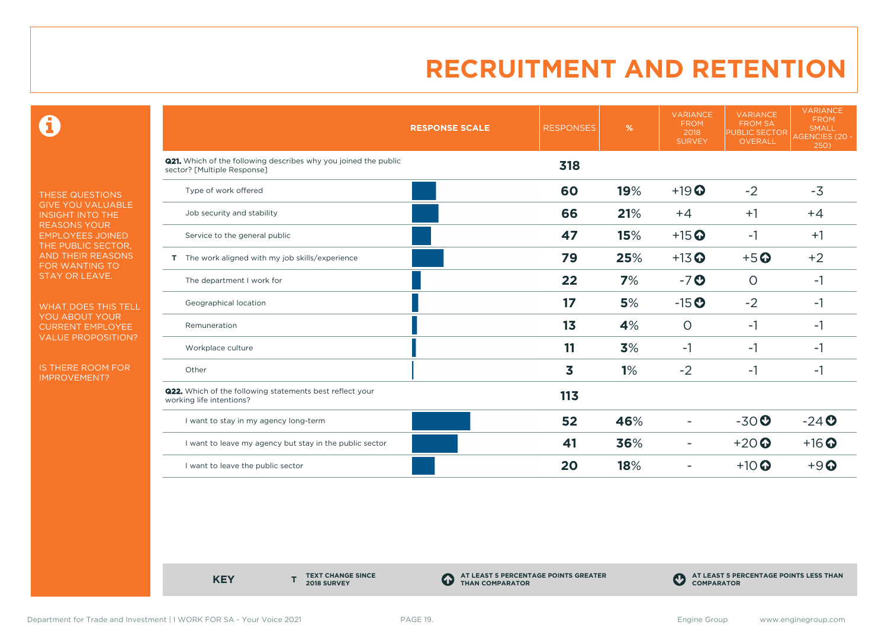0

THESE QUESTIONS GIVE YOU VALUABLE INSIGHT INTO THE REASONS YOUR EMPLOYEES JOINED THE PUBLIC SECTOR, AND THEIR REASONS FOR WANTING TO STAY OR LEAVE.

WHAT DOES THIS TELL YOU ABOUT YOUR CURRENT EMPLOYEE VALUE PROPOSITION?

IS THERE ROOM FOR IMPROVEMENT?

|                                                                                                       | <b>RESPONSE SCALE</b> | <b>RESPONSES</b> | %   | <b>VARIANCE</b><br><b>FROM</b><br>2018<br><b>SURVEY</b> | <b>VARIANCE</b><br><b>FROM SA</b><br><b>PUBLIC SECTOR</b><br><b>OVERALL</b> | <b>VARIANCE</b><br><b>FROM</b><br><b>SMALL</b><br><b>AGENCIES (20 -</b><br>250) |
|-------------------------------------------------------------------------------------------------------|-----------------------|------------------|-----|---------------------------------------------------------|-----------------------------------------------------------------------------|---------------------------------------------------------------------------------|
| <b>Q21.</b> Which of the following describes why you joined the public<br>sector? [Multiple Response] |                       | 318              |     |                                                         |                                                                             |                                                                                 |
| Type of work offered                                                                                  |                       | 60               | 19% | $+19$ <sup>O</sup>                                      | $-2$                                                                        | $-3$                                                                            |
| Job security and stability                                                                            |                       | 66               | 21% | $+4$                                                    | $+1$                                                                        | $+4$                                                                            |
| Service to the general public                                                                         |                       | 47               | 15% | $+15$ <sup>O</sup>                                      | $-1$                                                                        | $+1$                                                                            |
| T The work aligned with my job skills/experience                                                      |                       | 79               | 25% | $+13$ <sup>O</sup>                                      | $+5$ <sup>O</sup>                                                           | $+2$                                                                            |
| The department I work for                                                                             |                       | 22               | 7%  | $-7o$                                                   | $\circ$                                                                     | $-1$                                                                            |
| Geographical location                                                                                 |                       | 17               | 5%  | $-15o$                                                  | $-2$                                                                        | $-1$                                                                            |
| Remuneration                                                                                          |                       | 1 <sub>3</sub>   | 4%  | $\circ$                                                 | $-1$                                                                        | $-1$                                                                            |
| Workplace culture                                                                                     |                       | 11               | 3%  | $-1$                                                    | $-1$                                                                        | $-1$                                                                            |
| Other                                                                                                 |                       | 3                | 1%  | $-2$                                                    | $-1$                                                                        | $-1$                                                                            |
| <b>Q22.</b> Which of the following statements best reflect your<br>working life intentions?           |                       | 113              |     |                                                         |                                                                             |                                                                                 |
| I want to stay in my agency long-term                                                                 |                       | 52               | 46% |                                                         | $-30o$                                                                      | $-24$                                                                           |
| I want to leave my agency but stay in the public sector                                               |                       | 41               | 36% | ۰                                                       | $+20$                                                                       | $+16$ <sup>O</sup>                                                              |
| I want to leave the public sector                                                                     |                       | 20               | 18% |                                                         | $+10$ <sup>O</sup>                                                          | $+9$ <sup><math>\odot</math></sup>                                              |

**KEY** 

**TEXT CHANGE SINCE 2018 SURVEY**

**AT LEAST 5 PERCENTAGE POINTS GREATER THAN COMPARATOR**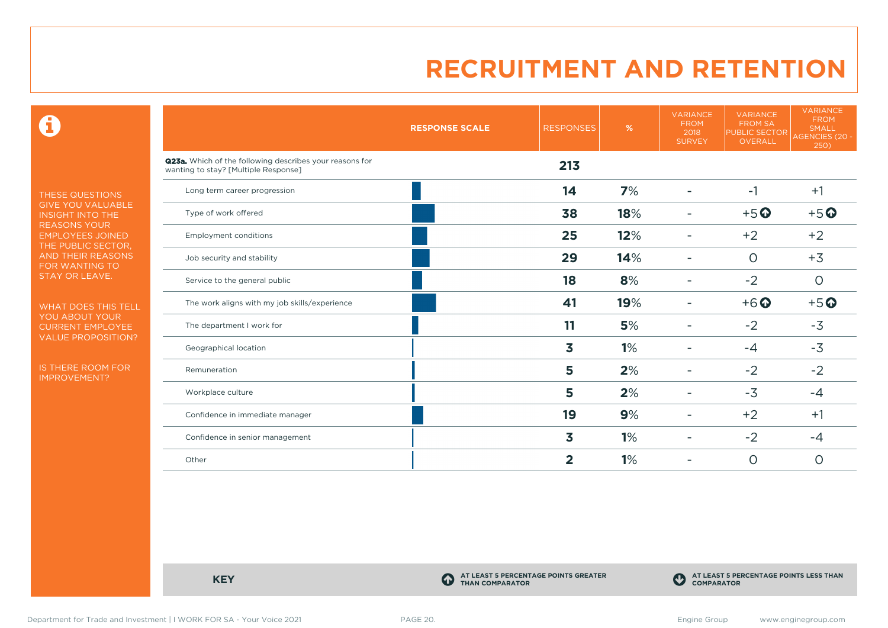$\mathbf \Theta$ 

THESE QUESTIONS GIVE YOU VALUABLE INSIGHT INTO THE REASONS YOUR EMPLOYEES JOINED THE PUBLIC SECTOR, AND THEIR REASONS FOR WANTING TO STAY OR LEAVE.

WHAT DOES THIS TELL YOU ABOUT YOUR CURRENT EMPLOYEE VALUE PROPOSITION?

IS THERE ROOM FOR IMPROVEMENT?

|                                                                                                 | <b>RESPONSE SCALE</b> | <b>RESPONSES</b> | %   | <b>VARIANCE</b><br><b>FROM</b><br>2018<br><b>SURVEY</b> | <b>VARIANCE</b><br><b>FROM SA</b><br>PUBLIC SECTOR<br>OVERALL | <b>VARIANCE</b><br><b>FROM</b><br><b>SMALL</b><br>AGENCIES (20 -<br>250) |
|-------------------------------------------------------------------------------------------------|-----------------------|------------------|-----|---------------------------------------------------------|---------------------------------------------------------------|--------------------------------------------------------------------------|
| Q23a. Which of the following describes your reasons for<br>wanting to stay? [Multiple Response] |                       | 213              |     |                                                         |                                                               |                                                                          |
| Long term career progression                                                                    |                       | 14               | 7%  |                                                         | $-1$                                                          | $+1$                                                                     |
| Type of work offered                                                                            |                       | 38               | 18% |                                                         | $+5o$                                                         | $+5o$                                                                    |
| <b>Employment conditions</b>                                                                    |                       | 25               | 12% | -                                                       | $+2$                                                          | $+2$                                                                     |
| Job security and stability                                                                      |                       | 29               | 14% |                                                         | $\circ$                                                       | $+3$                                                                     |
| Service to the general public                                                                   |                       | 18               | 8%  |                                                         | $-2$                                                          | $\circ$                                                                  |
| The work aligns with my job skills/experience                                                   |                       | 41               | 19% |                                                         | $+6$ <sup>O</sup>                                             | $+5o$                                                                    |
| The department I work for                                                                       |                       | 11               | 5%  | -                                                       | $-2$                                                          | $-3$                                                                     |
| Geographical location                                                                           |                       | 3                | 1%  |                                                         | $-4$                                                          | $-3$                                                                     |
| Remuneration                                                                                    |                       | 5                | 2%  |                                                         | $-2$                                                          | $-2$                                                                     |
| Workplace culture                                                                               |                       | 5                | 2%  | -                                                       | $-3$                                                          | $-4$                                                                     |
| Confidence in immediate manager                                                                 |                       | 19               | 9%  |                                                         | $+2$                                                          | $+1$                                                                     |
| Confidence in senior management                                                                 |                       | 3                | 1%  |                                                         | $-2$                                                          | $-4$                                                                     |
| Other                                                                                           |                       | $\overline{2}$   | 1%  |                                                         | $\circ$                                                       | $\circ$                                                                  |
|                                                                                                 |                       |                  |     |                                                         |                                                               |                                                                          |

**KEY C** 

**AT LEAST 5 PERCENTAGE POINTS GREATER THAN COMPARATOR**



Department for Trade and Investment | I WORK FOR SA - Your Voice 2021 PAGE 20. PAGE 20.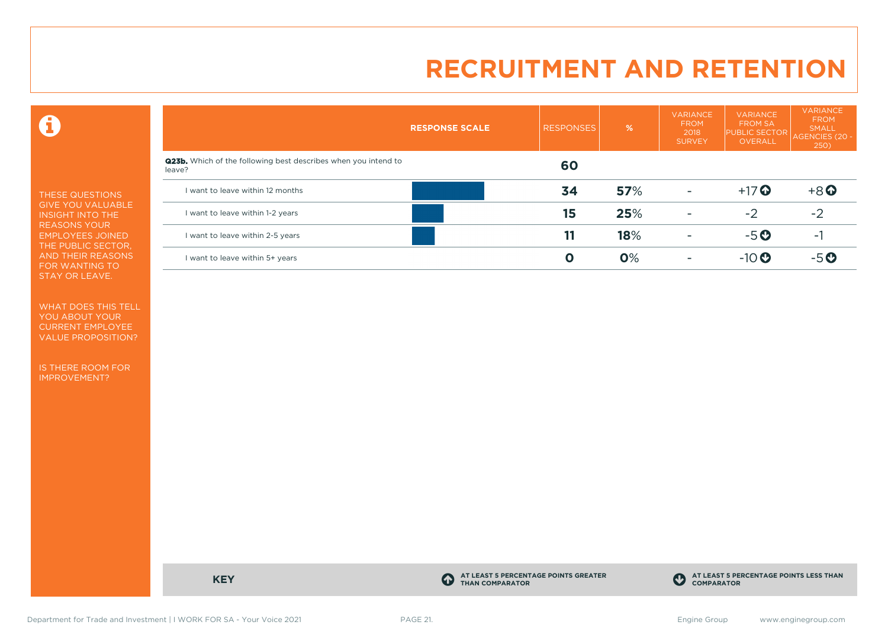$\mathbf \Theta$ 

THESE QUESTIONS GIVE YOU VALUABLE INSIGHT INTO THE REASONS YOUR EMPLOYEES JOINED THE PUBLIC SECTOR, AND THEIR REASONS FOR WANTING TO STAY OR LEAVE.

WHAT DOES THIS TELL YOU ABOUT YOUR CURRENT EMPLOYEE VALUE PROPOSITION?

IS THERE ROOM FOR IMPROVEMENT?

|                                                                                 | <b>RESPONSE SCALE</b> | <b>RESPONSES</b> | %   | <b>VARIANCE</b><br><b>FROM</b><br>2018<br><b>SURVEY</b> | <b>VARIANCE</b><br><b>FROM SA</b><br><b>PUBLIC SECTOR</b><br><b>OVERALL</b> | VARIANCE<br><b>FROM</b><br><b>SMALL</b><br>AGENCIES (20 -<br>250) |
|---------------------------------------------------------------------------------|-----------------------|------------------|-----|---------------------------------------------------------|-----------------------------------------------------------------------------|-------------------------------------------------------------------|
| <b>Q23b.</b> Which of the following best describes when you intend to<br>leave? |                       | 60               |     |                                                         |                                                                             |                                                                   |
| I want to leave within 12 months                                                |                       | 34               | 57% | $\overline{\phantom{a}}$                                | $+17$ $\odot$                                                               | $+8$ <sup>O</sup>                                                 |
| I want to leave within 1-2 years                                                |                       | 15               | 25% | ۰                                                       | $-2$                                                                        | $-2$                                                              |
| I want to leave within 2-5 years                                                |                       | 11               | 18% | ۰                                                       | $-5o$                                                                       |                                                                   |
| I want to leave within 5+ years                                                 |                       | O                | 0%  | ۰                                                       | $-10$ $\odot$                                                               | $-5$ $\odot$                                                      |

**KEY C** 

**AT LEAST 5 PERCENTAGE POINTS GREATER THAN COMPARATOR**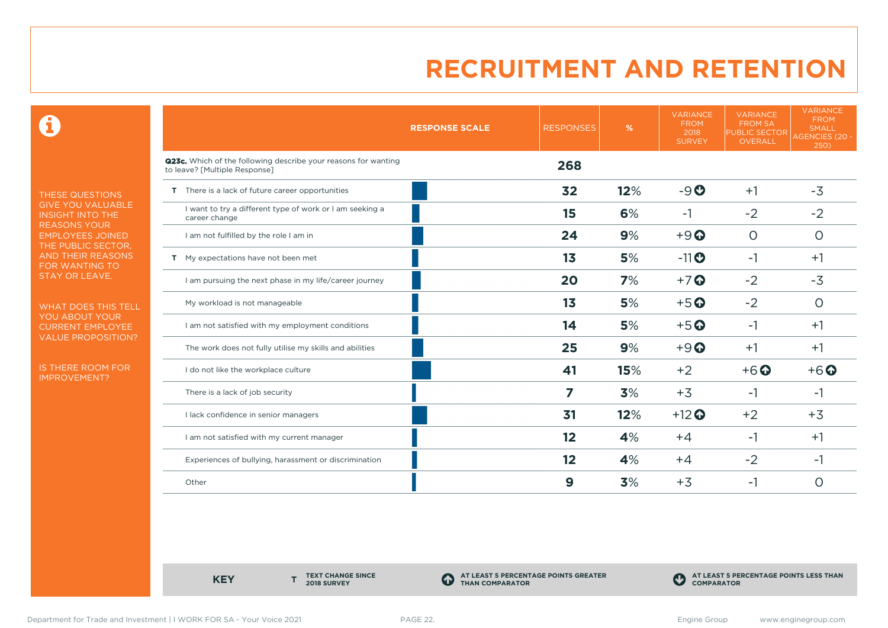0

THESE QUESTIONS GIVE YOU VALUABLE INSIGHT INTO THE REASONS YOUR EMPLOYEES JOINED THE PUBLIC SECTOR, AND THEIR REASONS FOR WANTING TO STAY OR LEAVE.

WHAT DOES THIS TELL YOU ABOUT YOUR CURRENT EMPLOYEE VALUE PROPOSITION?

IS THERE ROOM FOR IMPROVEMENT?

|                                                                                                 | <b>RESPONSE SCALE</b> | <b>RESPONSES</b> | %   | <b>VARIANCE</b><br><b>FROM</b><br>2018<br><b>SURVEY</b> | <b>VARIANCE</b><br><b>FROM SA</b><br><b>PUBLIC SECTOR</b><br>OVERALL | <b>VARIANCE</b><br><b>FROM</b><br><b>SMALL</b><br><b>AGENCIES (20 -</b><br>250) |
|-------------------------------------------------------------------------------------------------|-----------------------|------------------|-----|---------------------------------------------------------|----------------------------------------------------------------------|---------------------------------------------------------------------------------|
| Q23c. Which of the following describe your reasons for wanting<br>to leave? [Multiple Response] |                       | 268              |     |                                                         |                                                                      |                                                                                 |
| T There is a lack of future career opportunities                                                |                       | 32               | 12% | $-9O$                                                   | $+1$                                                                 | $-3$                                                                            |
| I want to try a different type of work or I am seeking a<br>career change                       |                       | 15               | 6%  | $-1$                                                    | $-2$                                                                 | $-2$                                                                            |
| I am not fulfilled by the role I am in                                                          |                       | 24               | 9%  | $+9$ <sup><math>\odot</math></sup>                      | $\circ$                                                              | $\circ$                                                                         |
| T My expectations have not been met                                                             |                       | 1 <sub>3</sub>   | 5%  | $-11$ <sup>O</sup>                                      | $-1$                                                                 | $+1$                                                                            |
| I am pursuing the next phase in my life/career journey                                          |                       | 20               | 7%  | $+7$ $\odot$                                            | $-2$                                                                 | $-3$                                                                            |
| My workload is not manageable                                                                   |                       | 1 <sub>3</sub>   | 5%  | $+5$ <sup>O</sup>                                       | $-2$                                                                 | $\circ$                                                                         |
| I am not satisfied with my employment conditions                                                |                       | 14               | 5%  | $+5$ <sup>O</sup>                                       | $-1$                                                                 | $+1$                                                                            |
| The work does not fully utilise my skills and abilities                                         |                       | 25               | 9%  | $+9$                                                    | $+1$                                                                 | $+1$                                                                            |
| I do not like the workplace culture                                                             |                       | 41               | 15% | $+2$                                                    | $+6$ <sup>O</sup>                                                    | $+6$ <sup>O</sup>                                                               |
| There is a lack of job security                                                                 |                       | 7                | 3%  | $+3$                                                    | -1                                                                   | -1                                                                              |
| I lack confidence in senior managers                                                            |                       | 31               | 12% | $+12$ <sup>O</sup>                                      | $+2$                                                                 | $+3$                                                                            |
| I am not satisfied with my current manager                                                      |                       | 12               | 4%  | $+4$                                                    | -1                                                                   | $+1$                                                                            |
| Experiences of bullying, harassment or discrimination                                           |                       | 12               | 4%  | $+4$                                                    | $-2$                                                                 | $-1$                                                                            |
| Other                                                                                           |                       | 9                | 3%  | $+3$                                                    | -1                                                                   | O                                                                               |

**KEY** 

**TEXT CHANGE SINCE 2018 SURVEY**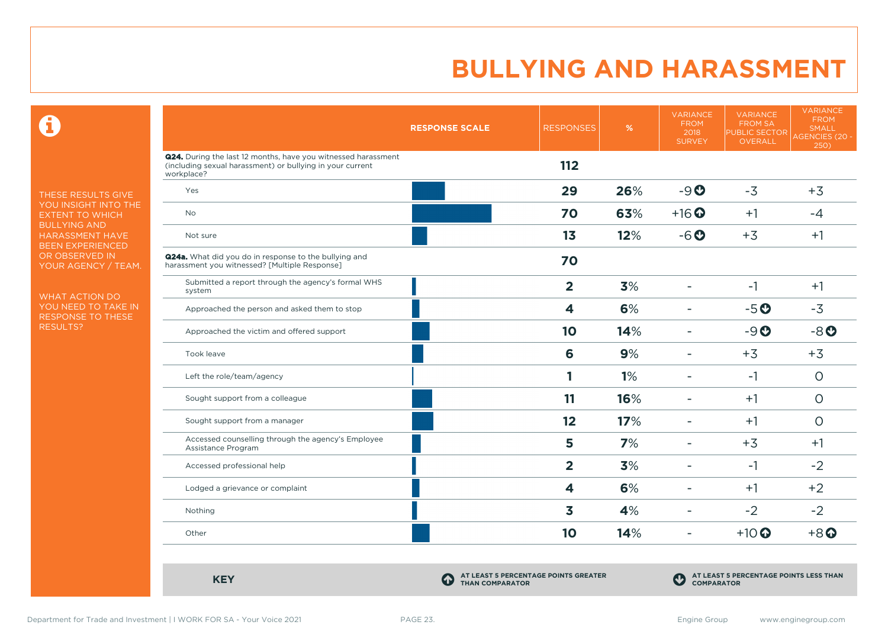$\mathbf \Theta$ 

THESE RESULTS GIVE YOU INSIGHT INTO THE EXTENT TO WHICH BULLYING AND HARASSMENT HAVE BEEN EXPERIENCED OR OBSERVED IN YOUR AGENCY / TEAM.

WHAT ACTION DO YOU NEED TO TAKE IN RESPONSE TO THESE RESULTS?

|                                                                                                                                          | <b>RESPONSE SCALE</b>                                               | <b>RESPONSES</b> | $\frac{9}{6}$ | <b>VARIANCE</b><br><b>FROM</b><br>2018<br><b>SURVEY</b> | <b>VARIANCE</b><br><b>FROM SA</b><br>PUBLIC SECTOR<br>OVERALL | <b>VARIANCE</b><br><b>FROM</b><br><b>SMALL</b><br><b>AGENCIES (20 -</b><br>250) |
|------------------------------------------------------------------------------------------------------------------------------------------|---------------------------------------------------------------------|------------------|---------------|---------------------------------------------------------|---------------------------------------------------------------|---------------------------------------------------------------------------------|
| Q24. During the last 12 months, have you witnessed harassment<br>(including sexual harassment) or bullying in your current<br>workplace? |                                                                     | 112              |               |                                                         |                                                               |                                                                                 |
| Yes                                                                                                                                      |                                                                     | 29               | 26%           | $-9O$                                                   | $-3$                                                          | $+3$                                                                            |
| <b>No</b>                                                                                                                                |                                                                     | 70               | 63%           | $+16$ $\odot$                                           | $+1$                                                          | $-4$                                                                            |
| Not sure                                                                                                                                 |                                                                     | 13               | 12%           | $-6o$                                                   | $+3$                                                          | $+1$                                                                            |
| <b>Q24a.</b> What did you do in response to the bullying and<br>harassment you witnessed? [Multiple Response]                            |                                                                     | 70               |               |                                                         |                                                               |                                                                                 |
| Submitted a report through the agency's formal WHS<br>system                                                                             |                                                                     | $\overline{2}$   | 3%            | $\overline{\phantom{a}}$                                | $-1$                                                          | $+1$                                                                            |
| Approached the person and asked them to stop                                                                                             |                                                                     | 4                | 6%            | ۳                                                       | $-5o$                                                         | $-3$                                                                            |
| Approached the victim and offered support                                                                                                |                                                                     | 10               | 14%           | $\overline{\phantom{a}}$                                | $-9O$                                                         | $-8o$                                                                           |
| Took leave                                                                                                                               |                                                                     | 6                | 9%            | $\overline{\phantom{a}}$                                | $+3$                                                          | $+3$                                                                            |
| Left the role/team/agency                                                                                                                |                                                                     | 1                | 1%            | $\blacksquare$                                          | $-1$                                                          | $\circ$                                                                         |
| Sought support from a colleague                                                                                                          |                                                                     | 11               | 16%           | ۰                                                       | $+1$                                                          | $\circ$                                                                         |
| Sought support from a manager                                                                                                            |                                                                     | 12               | 17%           | $\overline{\phantom{a}}$                                | $+1$                                                          | $\circ$                                                                         |
| Accessed counselling through the agency's Employee<br>Assistance Program                                                                 |                                                                     | 5                | 7%            | ٠                                                       | $+3$                                                          | $+1$                                                                            |
| Accessed professional help                                                                                                               |                                                                     | $\overline{2}$   | 3%            | ۳                                                       | $-1$                                                          | $-2$                                                                            |
| Lodged a grievance or complaint                                                                                                          |                                                                     | 4                | 6%            |                                                         | $+1$                                                          | $+2$                                                                            |
| Nothing                                                                                                                                  |                                                                     | 3                | 4%            | $\blacksquare$                                          | $-2$                                                          | $-2$                                                                            |
| Other                                                                                                                                    |                                                                     | 10               | 14%           | $\overline{\phantom{a}}$                                | $+10$ <sup>O</sup>                                            | $+8$ <sup>O</sup>                                                               |
| <b>KEY</b>                                                                                                                               | AT LEAST 5 PERCENTAGE POINTS GREATER<br>4<br><b>THAN COMPARATOR</b> |                  |               | $\bf C$<br><b>COMPARATOR</b>                            | AT LEAST 5 PERCENTAGE POINTS LESS THAN                        |                                                                                 |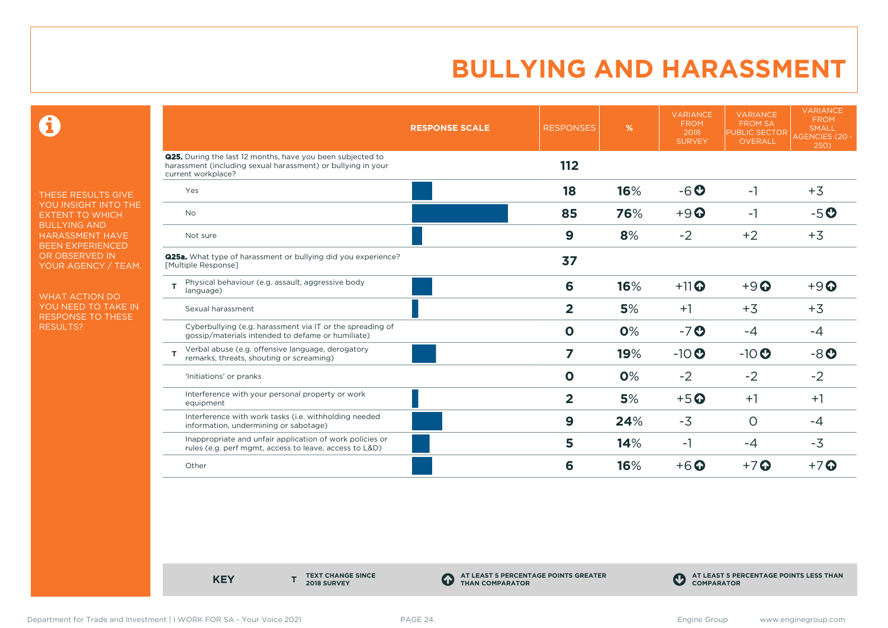$\mathbf \Theta$ 

THESE RESULTS GIVE YOU INSIGHT INTO THE EXTENT TO WHICH BULLYING AND HARASSMENT HAVE BEEN EXPERIENCED OR OBSERVED IN YOUR AGENCY / TEAM.

WHAT ACTION DO YOU NEED TO TAKE IN RESPONSE TO THESE RESULTS?

|                                                                                                                                                         | <b>RESPONSE SCALE</b> | <b>RESPONSES</b>        | %   | <b>VARIANCE</b><br><b>FROM</b><br>2018<br><b>SURVEY</b> | <b>VARIANCE</b><br><b>FROM SA</b><br><b>PUBLIC SECTOR</b><br>OVERALL | <b>VARIANCE</b><br><b>FROM</b><br><b>SMALL</b><br><b>AGENCIES (20 -</b><br>250) |
|---------------------------------------------------------------------------------------------------------------------------------------------------------|-----------------------|-------------------------|-----|---------------------------------------------------------|----------------------------------------------------------------------|---------------------------------------------------------------------------------|
| <b>Q25.</b> During the last 12 months, have you been subjected to<br>harassment (including sexual harassment) or bullying in your<br>current workplace? |                       | 112                     |     |                                                         |                                                                      |                                                                                 |
| Yes                                                                                                                                                     |                       | 18                      | 16% | $-6o$                                                   | $-1$                                                                 | $+3$                                                                            |
| <b>No</b>                                                                                                                                               |                       | 85                      | 76% | $+9$ <sup><math>\odot</math></sup>                      | $-1$                                                                 | $-5o$                                                                           |
| Not sure                                                                                                                                                |                       | 9                       | 8%  | $-2$                                                    | $+2$                                                                 | $+3$                                                                            |
| <b>Q25a.</b> What type of harassment or bullying did you experience?<br>[Multiple Response]                                                             |                       | 37                      |     |                                                         |                                                                      |                                                                                 |
| Physical behaviour (e.g. assault, aggressive body<br>т<br>language)                                                                                     |                       | 6                       | 16% | $+11$ <sup>O</sup>                                      | $+9$ <sup><math>\odot</math></sup>                                   | $+9$ <sup><math>\odot</math></sup>                                              |
| Sexual harassment                                                                                                                                       |                       | $\overline{2}$          | 5%  | $+1$                                                    | $+3$                                                                 | $+3$                                                                            |
| Cyberbullying (e.g. harassment via IT or the spreading of<br>gossip/materials intended to defame or humiliate)                                          |                       | $\mathbf 0$             | 0%  | $-7o$                                                   | $-4$                                                                 | $-4$                                                                            |
| Verbal abuse (e.g. offensive language, derogatory<br>remarks, threats, shouting or screaming)                                                           |                       | 7                       | 19% | $-10$                                                   | $-10$                                                                | $-8o$                                                                           |
| 'Initiations' or pranks                                                                                                                                 |                       | $\mathbf 0$             | 0%  | $-2$                                                    | $-2$                                                                 | $-2$                                                                            |
| Interference with your personal property or work<br>equipment                                                                                           |                       | $\overline{\mathbf{2}}$ | 5%  | $+5$ <sup>O</sup>                                       | $+1$                                                                 | $+1$                                                                            |
| Interference with work tasks (i.e. withholding needed<br>information, undermining or sabotage)                                                          |                       | 9                       | 24% | $-3$                                                    | $\Omega$                                                             | -4                                                                              |
| Inappropriate and unfair application of work policies or<br>rules (e.g. perf mgmt, access to leave, access to L&D)                                      |                       | 5                       | 14% | $-1$                                                    | $-4$                                                                 | $-3$                                                                            |
| Other                                                                                                                                                   |                       | 6                       | 16% | $+6$ $\odot$                                            | $+7$ $\odot$                                                         | $+7$ $\odot$                                                                    |

**KEY** 

**TEXT CHANGE SINCE 2018 SURVEY**

**AT LEAST 5 PERCENTAGE POINTS GREATER THAN COMPARATOR**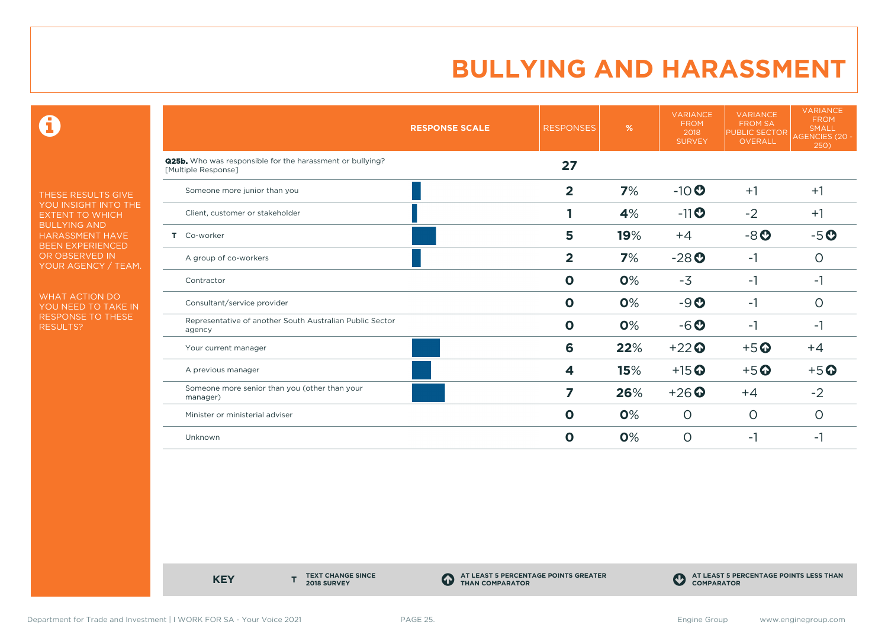$\mathbf \Theta$ 

THESE RESULTS GIVE YOU INSIGHT INTO THE EXTENT TO WHICH BULLYING AND HARASSMENT HAVE BEEN EXPERIENCED OR OBSERVED IN YOUR AGENCY / TEAM.

WHAT ACTION DO YOU NEED TO TAKE IN RESPONSE TO THESE RESULTS?

|                                                                                         | <b>RESPONSE SCALE</b> | <b>RESPONSES</b> | $\%$ | <b>VARIANCE</b><br><b>FROM</b><br>2018<br><b>SURVEY</b> | <b>VARIANCE</b><br><b>FROM SA</b><br><b>PUBLIC SECTOR</b><br><b>OVERALL</b> | <b>VARIANCE</b><br><b>FROM</b><br><b>SMALL</b><br>AGENCIES (20 -<br>250) |
|-----------------------------------------------------------------------------------------|-----------------------|------------------|------|---------------------------------------------------------|-----------------------------------------------------------------------------|--------------------------------------------------------------------------|
| <b>Q25b.</b> Who was responsible for the harassment or bullying?<br>[Multiple Response] |                       | 27               |      |                                                         |                                                                             |                                                                          |
| Someone more junior than you                                                            |                       | $\overline{2}$   | 7%   | $-10$ <sup>O</sup>                                      | $+1$                                                                        | $+1$                                                                     |
| Client, customer or stakeholder                                                         |                       |                  | 4%   | $-11$ $\odot$                                           | $-2$                                                                        | $+1$                                                                     |
| T Co-worker                                                                             |                       | 5                | 19%  | $+4$                                                    | $-8o$                                                                       | $-5o$                                                                    |
| A group of co-workers                                                                   |                       | $\overline{2}$   | 7%   | $-28$                                                   | $-1$                                                                        | O                                                                        |
| Contractor                                                                              |                       | $\mathbf 0$      | 0%   | $-3$                                                    | $-1$                                                                        | $-1$                                                                     |
| Consultant/service provider                                                             |                       | $\mathbf 0$      | 0%   | $-9O$                                                   | $-1$                                                                        | 0                                                                        |
| Representative of another South Australian Public Sector<br>agency                      |                       | $\mathbf 0$      | 0%   | $-6o$                                                   | $-1$                                                                        | -1                                                                       |
| Your current manager                                                                    |                       | 6                | 22%  | $+22$                                                   | $+5$ <sup>O</sup>                                                           | $+4$                                                                     |
| A previous manager                                                                      |                       | 4                | 15%  | $+15$ <sup>O</sup>                                      | $+5$ <sup>O</sup>                                                           | $+5$ <sup>O</sup>                                                        |
| Someone more senior than you (other than your<br>manager)                               |                       | 7                | 26%  | $+26$                                                   | $+4$                                                                        | $-2$                                                                     |
| Minister or ministerial adviser                                                         |                       | $\mathbf{o}$     | 0%   | $\circ$                                                 | $\circ$                                                                     | O                                                                        |
| Unknown                                                                                 |                       | $\mathbf{o}$     | 0%   | $\circ$                                                 | $-1$                                                                        | -1                                                                       |

**KEY** 

**TEXT CHANGE SINCE 2018 SURVEY**

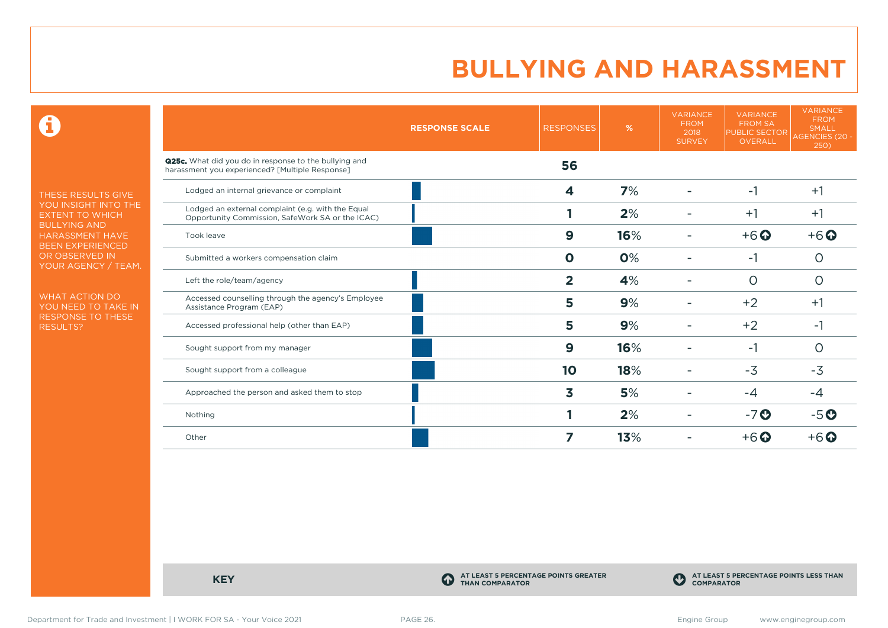$\mathbf \Theta$ 

THESE RESULTS GIVE YOU INSIGHT INTO THE EXTENT TO WHICH BULLYING AND HARASSMENT HAVE BEEN EXPERIENCED OR OBSERVED IN YOUR AGENCY / TEAM.

WHAT ACTION DO YOU NEED TO TAKE IN RESPONSE TO THESE RESULTS?

|                                                                                                          | <b>RESPONSE SCALE</b> | <b>RESPONSES</b> | %   | <b>VARIANCE</b><br><b>FROM</b><br>2018<br><b>SURVEY</b> | <b>VARIANCE</b><br><b>FROM SA</b><br><b>PUBLIC SECTOR</b><br><b>OVERALL</b> | <b>VARIANCE</b><br><b>FROM</b><br><b>SMALL</b><br><b>AGENCIES (20 -</b><br>250) |
|----------------------------------------------------------------------------------------------------------|-----------------------|------------------|-----|---------------------------------------------------------|-----------------------------------------------------------------------------|---------------------------------------------------------------------------------|
| Q25c. What did you do in response to the bullying and<br>harassment you experienced? [Multiple Response] |                       | 56               |     |                                                         |                                                                             |                                                                                 |
| Lodged an internal grievance or complaint                                                                |                       | 4                | 7%  |                                                         | -1                                                                          | $+1$                                                                            |
| Lodged an external complaint (e.g. with the Equal<br>Opportunity Commission, SafeWork SA or the ICAC)    |                       |                  | 2%  |                                                         | $+1$                                                                        | $+1$                                                                            |
| Took leave                                                                                               |                       | 9                | 16% |                                                         | $+6$ $\odot$                                                                | $+6$ $\odot$                                                                    |
| Submitted a workers compensation claim                                                                   |                       | $\mathbf 0$      | 0%  |                                                         | -1                                                                          | O                                                                               |
| Left the role/team/agency                                                                                |                       | $\overline{2}$   | 4%  |                                                         | $\circ$                                                                     | $\circ$                                                                         |
| Accessed counselling through the agency's Employee<br>Assistance Program (EAP)                           |                       | 5                | 9%  |                                                         | $+2$                                                                        | $+1$                                                                            |
| Accessed professional help (other than EAP)                                                              |                       | 5                | 9%  |                                                         | $+2$                                                                        | $-1$                                                                            |
| Sought support from my manager                                                                           |                       | 9                | 16% |                                                         | -1                                                                          | O                                                                               |
| Sought support from a colleague                                                                          |                       | 10               | 18% |                                                         | $-3$                                                                        | $-3$                                                                            |
| Approached the person and asked them to stop                                                             |                       | 3                | 5%  |                                                         | $-4$                                                                        | -4                                                                              |
| Nothing                                                                                                  |                       |                  | 2%  |                                                         | $-7$ $\odot$                                                                | $-5$ $O$                                                                        |
| Other                                                                                                    |                       | 7                | 13% |                                                         | $+6$ $\odot$                                                                | $+6$ $\Omega$                                                                   |

**KEY C** 

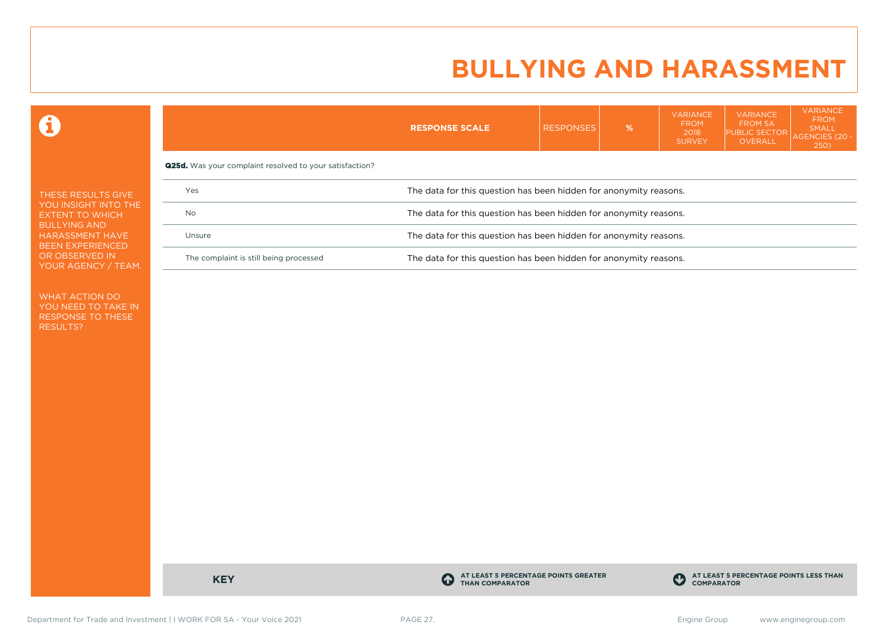VARIANCE

**VARIANCE** 

**VARIANCE** 

 $\mathbf \Omega$ 

|                                                                                                                                           |                                                                | <b>RESPONSE SCALE</b>                                             | <b>RESPONSES</b> | $\%$ | .<br><b>FROM</b><br>2018<br><b>SURVEY</b> | <b>FROM SA</b><br><b>PUBLIC SECTOR</b><br>OVERALL | <b>FROM</b><br>SMALL<br>AGENCIES (20 -<br><b>250</b> ) |  |  |
|-------------------------------------------------------------------------------------------------------------------------------------------|----------------------------------------------------------------|-------------------------------------------------------------------|------------------|------|-------------------------------------------|---------------------------------------------------|--------------------------------------------------------|--|--|
|                                                                                                                                           | <b>Q25d.</b> Was your complaint resolved to your satisfaction? |                                                                   |                  |      |                                           |                                                   |                                                        |  |  |
| THESE RESULTS GIVE<br>YOU INSIGHT INTO THE<br>EXTENT TO WHICH<br><b>BULLYING AND</b><br><b>HARASSMENT HAVE</b><br><b>BEEN EXPERIENCED</b> | Yes                                                            | The data for this question has been hidden for anonymity reasons. |                  |      |                                           |                                                   |                                                        |  |  |
|                                                                                                                                           | No                                                             | The data for this question has been hidden for anonymity reasons. |                  |      |                                           |                                                   |                                                        |  |  |
|                                                                                                                                           | Unsure                                                         | The data for this question has been hidden for anonymity reasons. |                  |      |                                           |                                                   |                                                        |  |  |
| OR OBSERVED IN<br>YOUR AGENCY / TEAM.                                                                                                     | The complaint is still being processed                         | The data for this question has been hidden for anonymity reasons. |                  |      |                                           |                                                   |                                                        |  |  |

WHAT ACTION DO YOU NEED TO TAKE IN RESPONSE TO THESE RESULTS?

**KEY C** 

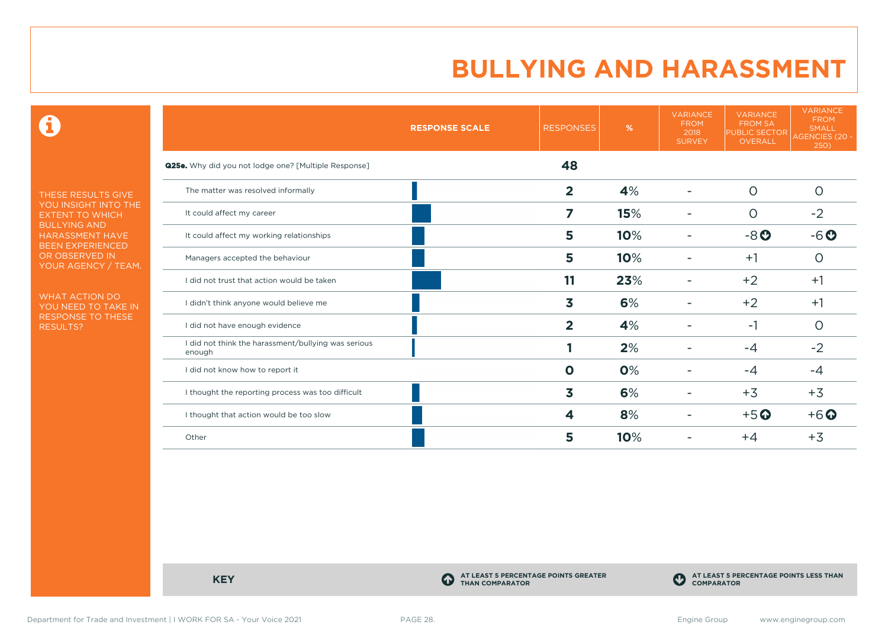$\mathbf \Theta$ 

THESE RESULTS GIVE YOU INSIGHT INTO THE EXTENT TO WHICH BULLYING AND HARASSMENT HAVE BEEN EXPERIENCED OR OBSERVED IN YOUR AGENCY / TEAM.

WHAT ACTION DO YOU NEED TO TAKE IN RESPONSE TO THESE RESULTS?

|                                                               | <b>RESPONSE SCALE</b> | <b>RESPONSES</b> | %   | <b>VARIANCE</b><br><b>FROM</b><br>2018<br><b>SURVEY</b> | <b>VARIANCE</b><br><b>FROM SA</b><br><b>PUBLIC SECTOR</b><br>OVERALL | <b>VARIANCE</b><br><b>FROM</b><br><b>SMALL</b><br>AGENCIES (20 -<br>250) |
|---------------------------------------------------------------|-----------------------|------------------|-----|---------------------------------------------------------|----------------------------------------------------------------------|--------------------------------------------------------------------------|
| <b>Q25e.</b> Why did you not lodge one? [Multiple Response]   |                       | 48               |     |                                                         |                                                                      |                                                                          |
| The matter was resolved informally                            |                       | $\overline{2}$   | 4%  |                                                         | $\circ$                                                              | $\circ$                                                                  |
| It could affect my career                                     |                       | 7                | 15% |                                                         | $\circ$                                                              | $-2$                                                                     |
| It could affect my working relationships                      |                       | 5                | 10% |                                                         | $-8o$                                                                | $-6o$                                                                    |
| Managers accepted the behaviour                               |                       | 5                | 10% |                                                         | $+1$                                                                 | O                                                                        |
| I did not trust that action would be taken                    |                       | 11               | 23% |                                                         | $+2$                                                                 | $+1$                                                                     |
| I didn't think anyone would believe me                        |                       | 3                | 6%  |                                                         | $+2$                                                                 | $+1$                                                                     |
| I did not have enough evidence                                |                       | $\overline{2}$   | 4%  |                                                         | $-1$                                                                 | $\circ$                                                                  |
| I did not think the harassment/bullying was serious<br>enough |                       |                  | 2%  |                                                         | $-4$                                                                 | $-2$                                                                     |
| I did not know how to report it                               |                       | $\mathbf 0$      | 0%  |                                                         | $-4$                                                                 | -4                                                                       |
| I thought the reporting process was too difficult             |                       | 3                | 6%  |                                                         | $+3$                                                                 | $+3$                                                                     |
| I thought that action would be too slow                       |                       | 4                | 8%  |                                                         | $+5$ <sup>O</sup>                                                    | $+6$ $\odot$                                                             |
| Other                                                         |                       | 5                | 10% |                                                         | $+4$                                                                 | $+3$                                                                     |

**KEY C** 

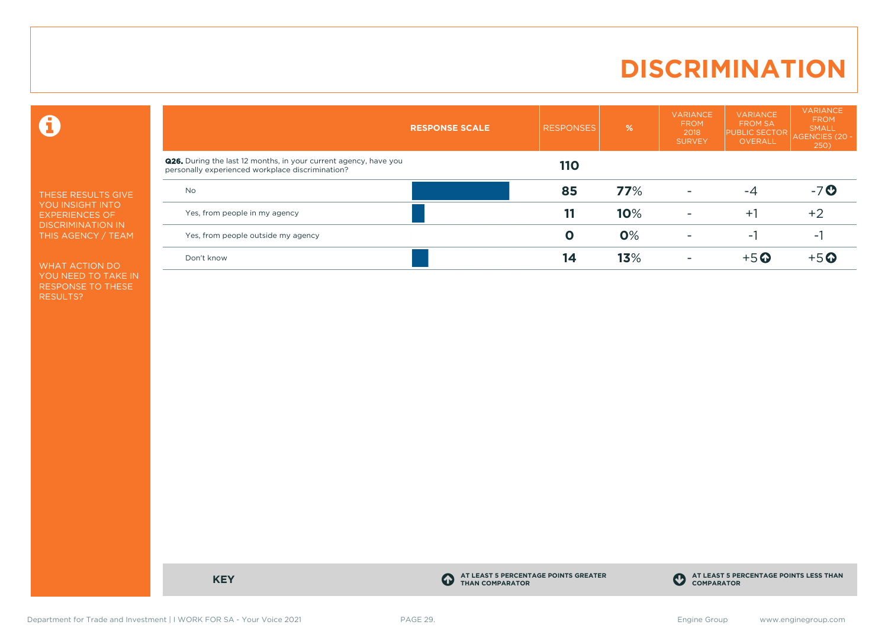### **DISCRIMINATION**

 $\mathbf \Theta$ 

THESE RESULTS GIVE YOU INSIGHT INTO EXPERIENCES OF DISCRIMINATION IN THIS AGENCY / TEAM

WHAT ACTION DO YOU NEED TO TAKE IN RESPONSE TO THESE RESULTS?

|                                                                                                                             | <b>RESPONSE SCALE</b> | <b>RESPONSES</b> | $\overline{\%}$ | <b>VARIANCE</b><br><b>FROM</b><br>2018<br><b>SURVEY</b> | <b>VARIANCE</b><br><b>FROM SA</b><br><b>PUBLIC SECTOR</b><br><b>OVERALL</b> | <b>VARIANCE</b><br><b>FROM</b><br><b>SMALL</b><br>AGENCIES (20 -<br>250) |
|-----------------------------------------------------------------------------------------------------------------------------|-----------------------|------------------|-----------------|---------------------------------------------------------|-----------------------------------------------------------------------------|--------------------------------------------------------------------------|
| <b>Q26.</b> During the last 12 months, in your current agency, have you<br>personally experienced workplace discrimination? |                       | <b>110</b>       |                 |                                                         |                                                                             |                                                                          |
| <b>No</b>                                                                                                                   |                       | 85               | 77%             |                                                         | -4                                                                          | -70                                                                      |
| Yes, from people in my agency                                                                                               |                       | 11               | 10%             | ۰                                                       | $+1$                                                                        | $+2$                                                                     |
| Yes, from people outside my agency                                                                                          |                       | Ο                | 0%              |                                                         | ÷.                                                                          | ÷.                                                                       |
| Don't know                                                                                                                  |                       | 14               | 13%             |                                                         | $+5$ $\odot$                                                                | $+5$ $\Omega$                                                            |

**KEY C** 

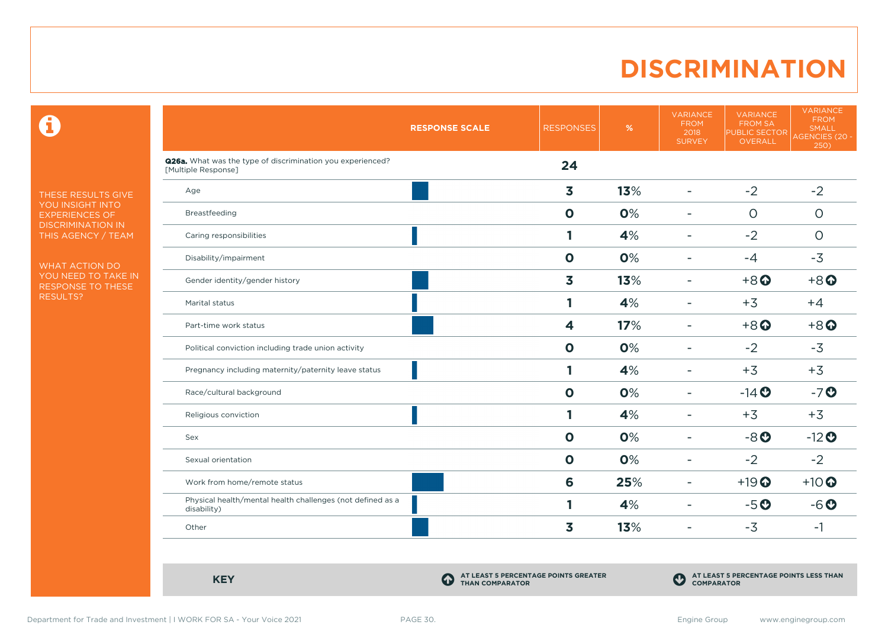### **DISCRIMINATION**

 $\mathbf \Theta$ 

THESE RESULTS GIVE YOU INSIGHT INTO EXPERIENCES OF DISCRIMINATION IN THIS AGENCY / TEAM

WHAT ACTION DO YOU NEED TO TAKE IN RESPONSE TO THESE RESULTS?

|                                                                                          | <b>RESPONSE SCALE</b> | <b>RESPONSES</b>        | %   | <b>VARIANCE</b><br><b>FROM</b><br>2018<br><b>SURVEY</b> | <b>VARIANCE</b><br><b>FROM SA</b><br><b>PUBLIC SECTOR</b><br><b>OVERALL</b> | <b>VARIANCE</b><br><b>FROM</b><br><b>SMALL</b><br>AGENCIES (20 -<br>250) |
|------------------------------------------------------------------------------------------|-----------------------|-------------------------|-----|---------------------------------------------------------|-----------------------------------------------------------------------------|--------------------------------------------------------------------------|
| <b>Q26a.</b> What was the type of discrimination you experienced?<br>[Multiple Response] |                       | 24                      |     |                                                         |                                                                             |                                                                          |
| Age                                                                                      |                       | $\overline{\mathbf{3}}$ | 13% | $\overline{\phantom{0}}$                                | $-2$                                                                        | $-2$                                                                     |
| Breastfeeding                                                                            |                       | $\mathbf 0$             | 0%  | $\overline{\phantom{0}}$                                | $\circ$                                                                     | $\circ$                                                                  |
| Caring responsibilities                                                                  |                       | 1                       | 4%  | $\blacksquare$                                          | $-2$                                                                        | $\circ$                                                                  |
| Disability/impairment                                                                    |                       | $\mathbf{o}$            | 0%  | $\overline{\phantom{0}}$                                | $-4$                                                                        | $-3$                                                                     |
| Gender identity/gender history                                                           |                       | $\overline{\mathbf{3}}$ | 13% |                                                         | $+8$ <sup>O</sup>                                                           | $+8$ <sup>O</sup>                                                        |
| Marital status                                                                           |                       | 1                       | 4%  |                                                         | $+3$                                                                        | $+4$                                                                     |
| Part-time work status                                                                    |                       | 4                       | 17% | $\overline{\phantom{a}}$                                | $+8$ <sup>O</sup>                                                           | $+8$ <sup><math>\odot</math></sup>                                       |
| Political conviction including trade union activity                                      |                       | $\mathbf 0$             | 0%  |                                                         | $-2$                                                                        | $-3$                                                                     |
| Pregnancy including maternity/paternity leave status                                     |                       | 1                       | 4%  |                                                         | $+3$                                                                        | $+3$                                                                     |
| Race/cultural background                                                                 |                       | $\mathbf 0$             | 0%  | $\blacksquare$                                          | $-14$ <b>O</b>                                                              | $-7o$                                                                    |
| Religious conviction                                                                     |                       | 1                       | 4%  | ۰                                                       | $+3$                                                                        | $+3$                                                                     |
| Sex                                                                                      |                       | $\mathbf{o}$            | 0%  | ۰                                                       | $-8o$                                                                       | $-12$ <sup>O</sup>                                                       |
| Sexual orientation                                                                       |                       | $\mathbf 0$             | 0%  | $\overline{\phantom{0}}$                                | $-2$                                                                        | $-2$                                                                     |
| Work from home/remote status                                                             |                       | 6                       | 25% | $\blacksquare$                                          | $+19$ <sup>O</sup>                                                          | $+10$ <sup>O</sup>                                                       |
| Physical health/mental health challenges (not defined as a<br>disability)                |                       | 1                       | 4%  | $\overline{\phantom{0}}$                                | $-5o$                                                                       | $-6o$                                                                    |
| Other                                                                                    |                       | $\overline{\mathbf{3}}$ | 13% | $\overline{\phantom{0}}$                                | $-3$                                                                        | $-1$                                                                     |

**KEY C** 

**AT LEAST 5 PERCENTAGE POINTS GREATER THAN COMPARATOR**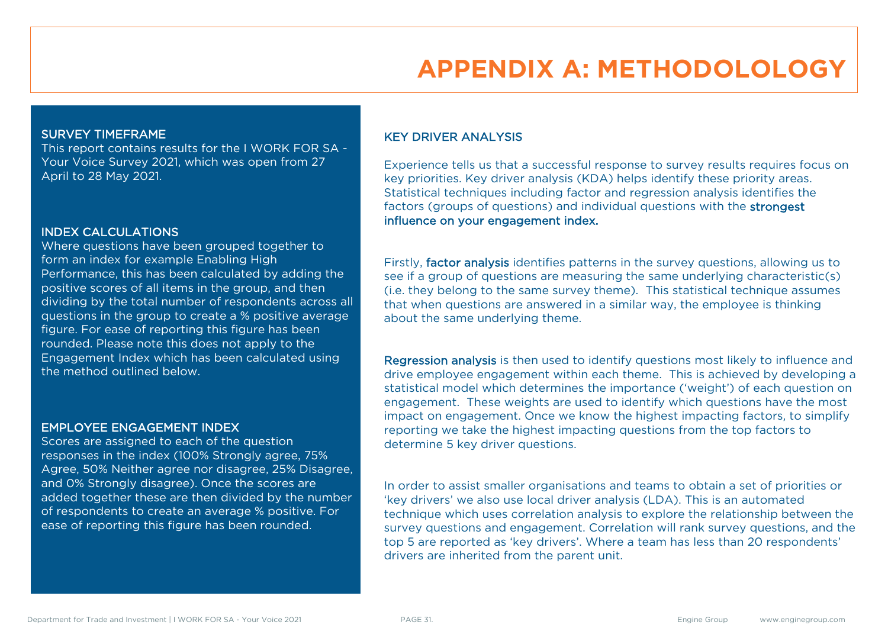# **APPENDIX A: METHODOLOLOGY**

#### SURVEY TIMEFRAME

This report contains results for the I WORK FOR SA - Your Voice Survey 2021, which was open from 27 April to 28 May 2021.

#### INDEX CALCULATIONS

Where questions have been grouped together to form an index for example Enabling High Performance, this has been calculated by adding the positive scores of all items in the group, and then dividing by the total number of respondents across all questions in the group to create a % positive average figure. For ease of reporting this figure has been rounded. Please note this does not apply to the Engagement Index which has been calculated using the method outlined below.

#### EMPLOYEE ENGAGEMENT INDEX

Scores are assigned to each of the question responses in the index (100% Strongly agree, 75% Agree, 50% Neither agree nor disagree, 25% Disagree, and 0% Strongly disagree). Once the scores are added together these are then divided by the number of respondents to create an average % positive. For ease of reporting this figure has been rounded.

#### KEY DRIVER ANALYSIS

Experience tells us that a successful response to survey results requires focus on key priorities. Key driver analysis (KDA) helps identify these priority areas. Statistical techniques including factor and regression analysis identifies the factors (groups of questions) and individual questions with the strongest influence on your engagement index.

Firstly, factor analysis identifies patterns in the survey questions, allowing us to see if a group of questions are measuring the same underlying characteristic(s) (i.e. they belong to the same survey theme). This statistical technique assumes that when questions are answered in a similar way, the employee is thinking about the same underlying theme.

Regression analysis is then used to identify questions most likely to influence and drive employee engagement within each theme. This is achieved by developing a statistical model which determines the importance ('weight') of each question on engagement. These weights are used to identify which questions have the most impact on engagement. Once we know the highest impacting factors, to simplify reporting we take the highest impacting questions from the top factors to determine 5 key driver questions.

In order to assist smaller organisations and teams to obtain a set of priorities or 'key drivers' we also use local driver analysis (LDA). This is an automated technique which uses correlation analysis to explore the relationship between the survey questions and engagement. Correlation will rank survey questions, and the top 5 are reported as 'key drivers'. Where a team has less than 20 respondents' drivers are inherited from the parent unit.